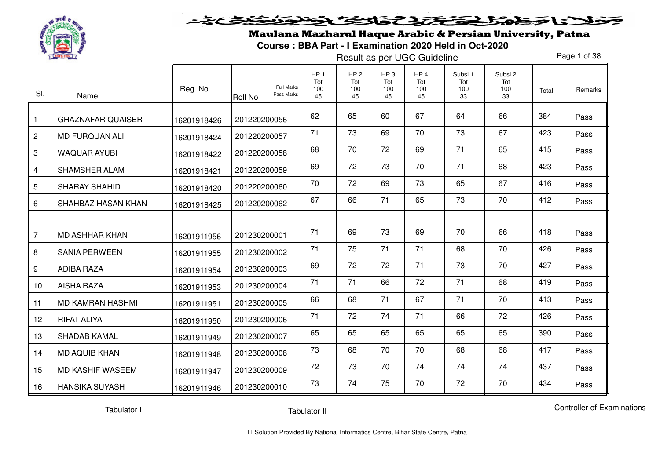

#### فلانا فخطور اخترج تخافت وتنونة ここくら

Maulana Mazharul Haque Arabic & Persian University, Patna

**Course : BBA Part - I Examination 2020 Held in Oct-2020** 

Result as per UGC Guideline

Page 1 of 38

| SI.            | Name                     | Reg. No.    | <b>Full Marks</b><br>Pass Marks<br><b>Roll No</b> | HP <sub>1</sub><br>Tot<br>100<br>45 | HP <sub>2</sub><br>Tot<br>100<br>45 | HP <sub>3</sub><br>Tot<br>100<br>45 | HP <sub>4</sub><br>Tot<br>100<br>45 | Subsi 1<br>Tot<br>100<br>33 | Subsi 2<br>Tot<br>100<br>33 | Total | Remarks |
|----------------|--------------------------|-------------|---------------------------------------------------|-------------------------------------|-------------------------------------|-------------------------------------|-------------------------------------|-----------------------------|-----------------------------|-------|---------|
| $\mathbf{1}$   | <b>GHAZNAFAR QUAISER</b> | 16201918426 | 201220200056                                      | 62                                  | 65                                  | 60                                  | 67                                  | 64                          | 66                          | 384   | Pass    |
| $\mathbf{2}$   | <b>MD FURQUAN ALI</b>    | 16201918424 | 201220200057                                      | 71                                  | 73                                  | 69                                  | 70                                  | 73                          | 67                          | 423   | Pass    |
| 3              | <b>WAQUAR AYUBI</b>      | 16201918422 | 201220200058                                      | 68                                  | 70                                  | 72                                  | 69                                  | 71                          | 65                          | 415   | Pass    |
| 4              | SHAMSHER ALAM            | 16201918421 | 201220200059                                      | 69                                  | 72                                  | 73                                  | 70                                  | 71                          | 68                          | 423   | Pass    |
| 5              | SHARAY SHAHID            | 16201918420 | 201220200060                                      | 70                                  | 72                                  | 69                                  | 73                                  | 65                          | 67                          | 416   | Pass    |
| 6              | SHAHBAZ HASAN KHAN       | 16201918425 | 201220200062                                      | 67                                  | 66                                  | 71                                  | 65                                  | 73                          | 70                          | 412   | Pass    |
|                |                          |             |                                                   |                                     |                                     |                                     |                                     |                             |                             |       |         |
| $\overline{7}$ | <b>MD ASHHAR KHAN</b>    | 16201911956 | 201230200001                                      | 71                                  | 69                                  | 73                                  | 69                                  | 70                          | 66                          | 418   | Pass    |
| 8              | <b>SANIA PERWEEN</b>     | 16201911955 | 201230200002                                      | 71                                  | 75                                  | 71                                  | 71                                  | 68                          | 70                          | 426   | Pass    |
| 9              | <b>ADIBA RAZA</b>        | 16201911954 | 201230200003                                      | 69                                  | 72                                  | 72                                  | 71                                  | 73                          | 70                          | 427   | Pass    |
| 10             | <b>AISHA RAZA</b>        | 16201911953 | 201230200004                                      | 71                                  | 71                                  | 66                                  | 72                                  | 71                          | 68                          | 419   | Pass    |
| 11             | MD KAMRAN HASHMI         | 16201911951 | 201230200005                                      | 66                                  | 68                                  | 71                                  | 67                                  | 71                          | 70                          | 413   | Pass    |
| 12             | <b>RIFAT ALIYA</b>       | 16201911950 | 201230200006                                      | 71                                  | 72                                  | 74                                  | 71                                  | 66                          | 72                          | 426   | Pass    |
| 13             | <b>SHADAB KAMAL</b>      | 16201911949 | 201230200007                                      | 65                                  | 65                                  | 65                                  | 65                                  | 65                          | 65                          | 390   | Pass    |
| 14             | <b>MD AQUIB KHAN</b>     | 16201911948 | 201230200008                                      | 73                                  | 68                                  | 70                                  | 70                                  | 68                          | 68                          | 417   | Pass    |
| 15             | <b>MD KASHIF WASEEM</b>  | 16201911947 | 201230200009                                      | 72                                  | 73                                  | 70                                  | 74                                  | 74                          | 74                          | 437   | Pass    |
| 16             | <b>HANSIKA SUYASH</b>    | 16201911946 | 201230200010                                      | 73                                  | 74                                  | 75                                  | 70                                  | 72                          | 70                          | 434   | Pass    |

Tabulator I

Tabulator II

Controller of Examinations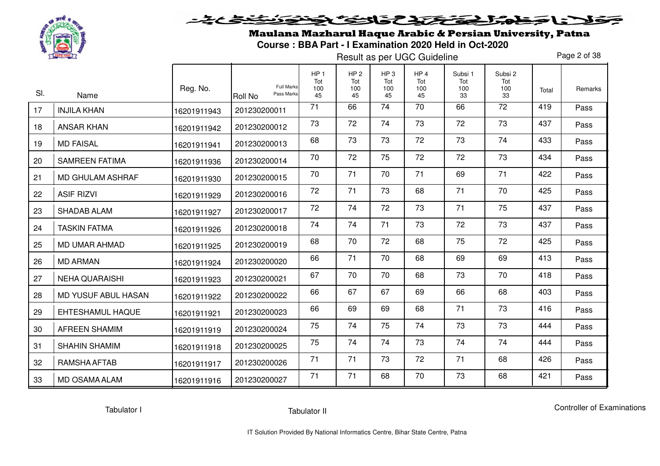

Maulana Mazharul Haque Arabic & Persian University, Patna**Course : BBA Part - I Examination 2020 Held in Oct-2020** 

Result as per UGC Guideline

Page 2 of 38

| SI. | Name                       | Reg. No.    | <b>Full Marks</b><br>Pass Marks<br><b>Roll No</b> | HP <sub>1</sub><br>Tot<br>100<br>45 | HP <sub>2</sub><br>Tot<br>100<br>45 | HP <sub>3</sub><br>Tot<br>100<br>45 | HP <sub>4</sub><br>Tot<br>100<br>45 | Subsi 1<br>Tot<br>100<br>33 | Subsi 2<br>Tot<br>100<br>33 | Total | Remarks |
|-----|----------------------------|-------------|---------------------------------------------------|-------------------------------------|-------------------------------------|-------------------------------------|-------------------------------------|-----------------------------|-----------------------------|-------|---------|
| 17  | <b>INJILA KHAN</b>         | 16201911943 | 201230200011                                      | 71                                  | 66                                  | 74                                  | 70                                  | 66                          | $\overline{72}$             | 419   | Pass    |
| 18  | <b>ANSAR KHAN</b>          | 16201911942 | 201230200012                                      | 73                                  | 72                                  | 74                                  | 73                                  | 72                          | 73                          | 437   | Pass    |
| 19  | <b>MD FAISAL</b>           | 16201911941 | 201230200013                                      | 68                                  | 73                                  | 73                                  | 72                                  | 73                          | 74                          | 433   | Pass    |
| 20  | <b>SAMREEN FATIMA</b>      | 16201911936 | 201230200014                                      | 70                                  | 72                                  | 75                                  | 72                                  | 72                          | 73                          | 434   | Pass    |
| 21  | MD GHULAM ASHRAF           | 16201911930 | 201230200015                                      | 70                                  | 71                                  | 70                                  | 71                                  | 69                          | 71                          | 422   | Pass    |
| 22  | <b>ASIF RIZVI</b>          | 16201911929 | 201230200016                                      | 72                                  | 71                                  | 73                                  | 68                                  | 71                          | 70                          | 425   | Pass    |
| 23  | <b>SHADAB ALAM</b>         | 16201911927 | 201230200017                                      | 72                                  | 74                                  | 72                                  | 73                                  | 71                          | 75                          | 437   | Pass    |
| 24  | <b>TASKIN FATMA</b>        | 16201911926 | 201230200018                                      | 74                                  | 74                                  | 71                                  | 73                                  | 72                          | 73                          | 437   | Pass    |
| 25  | <b>MD UMAR AHMAD</b>       | 16201911925 | 201230200019                                      | 68                                  | 70                                  | 72                                  | 68                                  | 75                          | 72                          | 425   | Pass    |
| 26  | <b>MD ARMAN</b>            | 16201911924 | 201230200020                                      | 66                                  | 71                                  | 70                                  | 68                                  | 69                          | 69                          | 413   | Pass    |
| 27  | <b>NEHA QUARAISHI</b>      | 16201911923 | 201230200021                                      | 67                                  | 70                                  | 70                                  | 68                                  | 73                          | 70                          | 418   | Pass    |
| 28  | <b>MD YUSUF ABUL HASAN</b> | 16201911922 | 201230200022                                      | 66                                  | 67                                  | 67                                  | 69                                  | 66                          | 68                          | 403   | Pass    |
| 29  | <b>EHTESHAMUL HAQUE</b>    | 16201911921 | 201230200023                                      | 66                                  | 69                                  | 69                                  | 68                                  | 71                          | 73                          | 416   | Pass    |
| 30  | <b>AFREEN SHAMIM</b>       | 16201911919 | 201230200024                                      | 75                                  | 74                                  | 75                                  | 74                                  | 73                          | 73                          | 444   | Pass    |
| 31  | <b>SHAHIN SHAMIM</b>       | 16201911918 | 201230200025                                      | 75                                  | 74                                  | 74                                  | 73                                  | 74                          | 74                          | 444   | Pass    |
| 32  | RAMSHA AFTAB               | 16201911917 | 201230200026                                      | 71                                  | 71                                  | 73                                  | 72                                  | 71                          | 68                          | 426   | Pass    |
| 33  | <b>MD OSAMA ALAM</b>       | 16201911916 | 201230200027                                      | 71                                  | 71                                  | 68                                  | 70                                  | 73                          | 68                          | 421   | Pass    |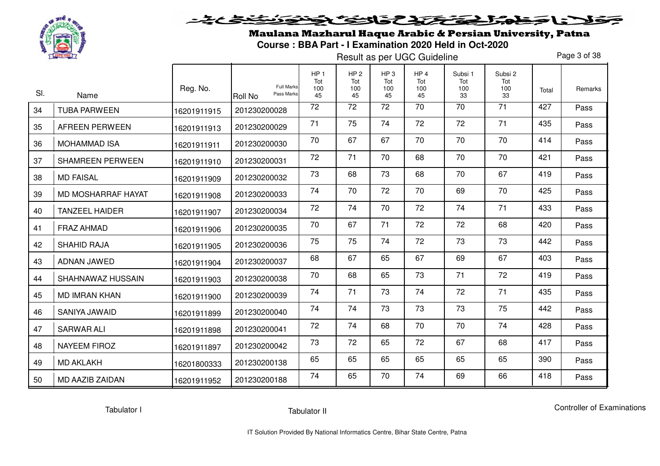

Maulana Mazharul Haque Arabic & Persian University, Patna**Course : BBA Part - I Examination 2020 Held in Oct-2020** 

Result as per UGC Guideline

Page 3 of 38

| SI. | Name                    | Reg. No.    | <b>Full Marks</b><br>Pass Marks<br><b>Roll No</b> | HP <sub>1</sub><br>Tot<br>100<br>45 | HP <sub>2</sub><br>Tot<br>100<br>45 | HP <sub>3</sub><br>Tot<br>100<br>45 | HP <sub>4</sub><br>Tot<br>100<br>45 | Subsi 1<br>Tot<br>100<br>33 | Subsi 2<br>Tot<br>100<br>33 | Total | Remarks |
|-----|-------------------------|-------------|---------------------------------------------------|-------------------------------------|-------------------------------------|-------------------------------------|-------------------------------------|-----------------------------|-----------------------------|-------|---------|
| 34  | <b>TUBA PARWEEN</b>     | 16201911915 | 201230200028                                      | 72                                  | $\overline{72}$                     | 72                                  | 70                                  | $\overline{70}$             | $\overline{71}$             | 427   | Pass    |
| 35  | <b>AFREEN PERWEEN</b>   | 16201911913 | 201230200029                                      | 71                                  | 75                                  | 74                                  | 72                                  | 72                          | 71                          | 435   | Pass    |
| 36  | <b>MOHAMMAD ISA</b>     | 16201911911 | 201230200030                                      | 70                                  | 67                                  | 67                                  | 70                                  | 70                          | 70                          | 414   | Pass    |
| 37  | <b>SHAMREEN PERWEEN</b> | 16201911910 | 201230200031                                      | 72                                  | 71                                  | 70                                  | 68                                  | 70                          | 70                          | 421   | Pass    |
| 38  | <b>MD FAISAL</b>        | 16201911909 | 201230200032                                      | 73                                  | 68                                  | 73                                  | 68                                  | 70                          | 67                          | 419   | Pass    |
| 39  | MD MOSHARRAF HAYAT      | 16201911908 | 201230200033                                      | 74                                  | 70                                  | 72                                  | 70                                  | 69                          | 70                          | 425   | Pass    |
| 40  | <b>TANZEEL HAIDER</b>   | 16201911907 | 201230200034                                      | 72                                  | 74                                  | 70                                  | 72                                  | 74                          | 71                          | 433   | Pass    |
| 41  | <b>FRAZ AHMAD</b>       | 16201911906 | 201230200035                                      | 70                                  | 67                                  | 71                                  | 72                                  | 72                          | 68                          | 420   | Pass    |
| 42  | <b>SHAHID RAJA</b>      | 16201911905 | 201230200036                                      | 75                                  | 75                                  | 74                                  | 72                                  | 73                          | 73                          | 442   | Pass    |
| 43  | ADNAN JAWED             | 16201911904 | 201230200037                                      | 68                                  | 67                                  | 65                                  | 67                                  | 69                          | 67                          | 403   | Pass    |
| 44  | SHAHNAWAZ HUSSAIN       | 16201911903 | 201230200038                                      | 70                                  | 68                                  | 65                                  | 73                                  | 71                          | 72                          | 419   | Pass    |
| 45  | <b>MD IMRAN KHAN</b>    | 16201911900 | 201230200039                                      | 74                                  | 71                                  | 73                                  | 74                                  | 72                          | 71                          | 435   | Pass    |
| 46  | SANIYA JAWAID           | 16201911899 | 201230200040                                      | 74                                  | 74                                  | 73                                  | 73                                  | 73                          | 75                          | 442   | Pass    |
| 47  | <b>SARWAR ALI</b>       | 16201911898 | 201230200041                                      | 72                                  | 74                                  | 68                                  | 70                                  | 70                          | 74                          | 428   | Pass    |
| 48  | <b>NAYEEM FIROZ</b>     | 16201911897 | 201230200042                                      | 73                                  | 72                                  | 65                                  | 72                                  | 67                          | 68                          | 417   | Pass    |
| 49  | <b>MD AKLAKH</b>        | 16201800333 | 201230200138                                      | 65                                  | 65                                  | 65                                  | 65                                  | 65                          | 65                          | 390   | Pass    |
| 50  | <b>MD AAZIB ZAIDAN</b>  | 16201911952 | 201230200188                                      | 74                                  | 65                                  | 70                                  | 74                                  | 69                          | 66                          | 418   | Pass    |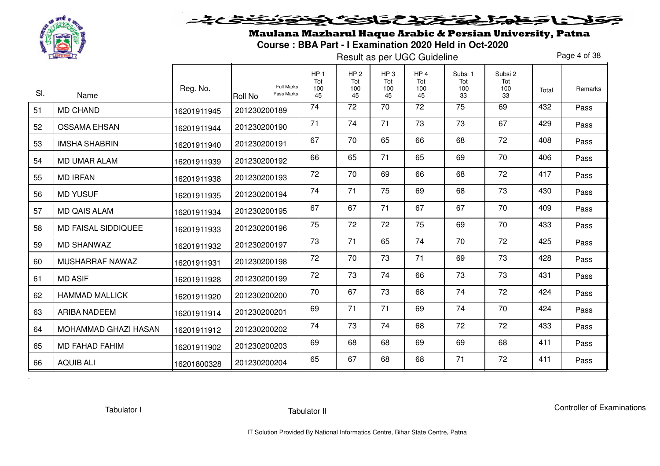

# <u>خخخ کی تو د</u> خلانا جمعله المحتفظ والتكافح لأنون

Maulana Mazharul Haque Arabic & Persian University, Patna**Course : BBA Part - I Examination 2020 Held in Oct-2020** 

Result as per UGC Guideline

Page 4 of 38

| SI. | Name                       | Reg. No.    | <b>Full Marks</b><br>Pass Marks<br><b>Roll No</b> | HP <sub>1</sub><br>Tot<br>100<br>45 | HP <sub>2</sub><br>Tot<br>100<br>45 | HP <sub>3</sub><br>Tot<br>100<br>45 | HP <sub>4</sub><br>Tot<br>100<br>45 | Subsi 1<br>Tot<br>100<br>33 | Subsi 2<br>Tot<br>100<br>33 | Total | Remarks |
|-----|----------------------------|-------------|---------------------------------------------------|-------------------------------------|-------------------------------------|-------------------------------------|-------------------------------------|-----------------------------|-----------------------------|-------|---------|
| 51  | <b>MD CHAND</b>            | 16201911945 | 201230200189                                      | 74                                  | 72                                  | 70                                  | 72                                  | 75                          | 69                          | 432   | Pass    |
| 52  | <b>OSSAMA EHSAN</b>        | 16201911944 | 201230200190                                      | 71                                  | 74                                  | 71                                  | 73                                  | 73                          | 67                          | 429   | Pass    |
| 53  | <b>IMSHA SHABRIN</b>       | 16201911940 | 201230200191                                      | 67                                  | 70                                  | 65                                  | 66                                  | 68                          | 72                          | 408   | Pass    |
| 54  | <b>MD UMAR ALAM</b>        | 16201911939 | 201230200192                                      | 66                                  | 65                                  | 71                                  | 65                                  | 69                          | 70                          | 406   | Pass    |
| 55  | <b>MD IRFAN</b>            | 16201911938 | 201230200193                                      | 72                                  | 70                                  | 69                                  | 66                                  | 68                          | 72                          | 417   | Pass    |
| 56  | <b>MD YUSUF</b>            | 16201911935 | 201230200194                                      | 74                                  | 71                                  | 75                                  | 69                                  | 68                          | 73                          | 430   | Pass    |
| 57  | <b>MD QAIS ALAM</b>        | 16201911934 | 201230200195                                      | 67                                  | 67                                  | 71                                  | 67                                  | 67                          | 70                          | 409   | Pass    |
| 58  | <b>MD FAISAL SIDDIQUEE</b> | 16201911933 | 201230200196                                      | 75                                  | 72                                  | 72                                  | 75                                  | 69                          | 70                          | 433   | Pass    |
| 59  | <b>MD SHANWAZ</b>          | 16201911932 | 201230200197                                      | 73                                  | 71                                  | 65                                  | 74                                  | 70                          | 72                          | 425   | Pass    |
| 60  | MUSHARRAF NAWAZ            | 16201911931 | 201230200198                                      | 72                                  | 70                                  | 73                                  | 71                                  | 69                          | 73                          | 428   | Pass    |
| 61  | <b>MD ASIF</b>             | 16201911928 | 201230200199                                      | 72                                  | 73                                  | 74                                  | 66                                  | 73                          | 73                          | 431   | Pass    |
| 62  | <b>HAMMAD MALLICK</b>      | 16201911920 | 201230200200                                      | 70                                  | 67                                  | 73                                  | 68                                  | 74                          | 72                          | 424   | Pass    |
| 63  | <b>ARIBA NADEEM</b>        | 16201911914 | 201230200201                                      | 69                                  | 71                                  | 71                                  | 69                                  | 74                          | 70                          | 424   | Pass    |
| 64  | MOHAMMAD GHAZI HASAN       | 16201911912 | 201230200202                                      | 74                                  | 73                                  | 74                                  | 68                                  | 72                          | 72                          | 433   | Pass    |
| 65  | <b>MD FAHAD FAHIM</b>      | 16201911902 | 201230200203                                      | 69                                  | 68                                  | 68                                  | 69                                  | 69                          | 68                          | 411   | Pass    |
| 66  | <b>AQUIB ALI</b>           | 16201800328 | 201230200204                                      | 65                                  | 67                                  | 68                                  | 68                                  | 71                          | 72                          | 411   | Pass    |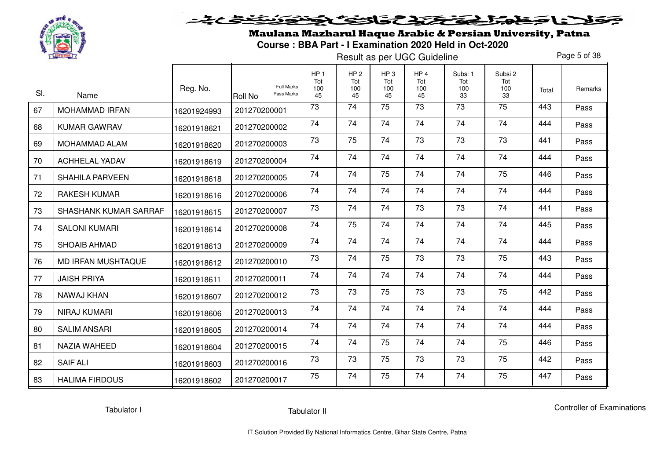

Maulana Mazharul Haque Arabic & Persian University, Patna**Course : BBA Part - I Examination 2020 Held in Oct-2020** 

Result as per UGC Guideline

Page 5 of 38

| SI. | Name                      | Reg. No.    | <b>Full Marks</b><br>Pass Marks<br><b>Roll No</b> | HP <sub>1</sub><br>Tot<br>100<br>45 | HP <sub>2</sub><br>Tot<br>100<br>45 | HP <sub>3</sub><br>Tot<br>100<br>45 | HP <sub>4</sub><br>Tot<br>100<br>45 | Subsi 1<br>Tot<br>100<br>33 | Subsi 2<br>Tot<br>100<br>33 | Total | Remarks |
|-----|---------------------------|-------------|---------------------------------------------------|-------------------------------------|-------------------------------------|-------------------------------------|-------------------------------------|-----------------------------|-----------------------------|-------|---------|
| 67  | <b>MOHAMMAD IRFAN</b>     | 16201924993 | 201270200001                                      | 73                                  | $\overline{74}$                     | 75                                  | 73                                  | $\overline{73}$             | $\overline{75}$             | 443   | Pass    |
| 68  | <b>KUMAR GAWRAV</b>       | 16201918621 | 201270200002                                      | 74                                  | 74                                  | 74                                  | 74                                  | 74                          | 74                          | 444   | Pass    |
| 69  | MOHAMMAD ALAM             | 16201918620 | 201270200003                                      | 73                                  | 75                                  | 74                                  | 73                                  | 73                          | 73                          | 441   | Pass    |
| 70  | <b>ACHHELAL YADAV</b>     | 16201918619 | 201270200004                                      | 74                                  | 74                                  | 74                                  | 74                                  | 74                          | 74                          | 444   | Pass    |
| 71  | <b>SHAHILA PARVEEN</b>    | 16201918618 | 201270200005                                      | 74                                  | 74                                  | 75                                  | 74                                  | 74                          | 75                          | 446   | Pass    |
| 72  | <b>RAKESH KUMAR</b>       | 16201918616 | 201270200006                                      | 74                                  | 74                                  | 74                                  | 74                                  | 74                          | 74                          | 444   | Pass    |
| 73  | SHASHANK KUMAR SARRAF     | 16201918615 | 201270200007                                      | 73                                  | 74                                  | 74                                  | 73                                  | 73                          | 74                          | 441   | Pass    |
| 74  | <b>SALONI KUMARI</b>      | 16201918614 | 201270200008                                      | 74                                  | 75                                  | 74                                  | 74                                  | 74                          | 74                          | 445   | Pass    |
| 75  | <b>SHOAIB AHMAD</b>       | 16201918613 | 201270200009                                      | 74                                  | 74                                  | 74                                  | 74                                  | 74                          | 74                          | 444   | Pass    |
| 76  | <b>MD IRFAN MUSHTAQUE</b> | 16201918612 | 201270200010                                      | 73                                  | 74                                  | 75                                  | 73                                  | 73                          | 75                          | 443   | Pass    |
| 77  | <b>JAISH PRIYA</b>        | 16201918611 | 201270200011                                      | 74                                  | 74                                  | 74                                  | 74                                  | 74                          | 74                          | 444   | Pass    |
| 78  | NAWAJ KHAN                | 16201918607 | 201270200012                                      | 73                                  | 73                                  | 75                                  | 73                                  | 73                          | 75                          | 442   | Pass    |
| 79  | <b>NIRAJ KUMARI</b>       | 16201918606 | 201270200013                                      | 74                                  | 74                                  | 74                                  | 74                                  | 74                          | 74                          | 444   | Pass    |
| 80  | <b>SALIM ANSARI</b>       | 16201918605 | 201270200014                                      | 74                                  | 74                                  | 74                                  | 74                                  | 74                          | 74                          | 444   | Pass    |
| 81  | <b>NAZIA WAHEED</b>       | 16201918604 | 201270200015                                      | 74                                  | 74                                  | 75                                  | 74                                  | 74                          | 75                          | 446   | Pass    |
| 82  | <b>SAIF ALI</b>           | 16201918603 | 201270200016                                      | 73                                  | 73                                  | 75                                  | 73                                  | 73                          | 75                          | 442   | Pass    |
| 83  | <b>HALIMA FIRDOUS</b>     | 16201918602 | 201270200017                                      | 75                                  | 74                                  | 75                                  | 74                                  | 74                          | 75                          | 447   | Pass    |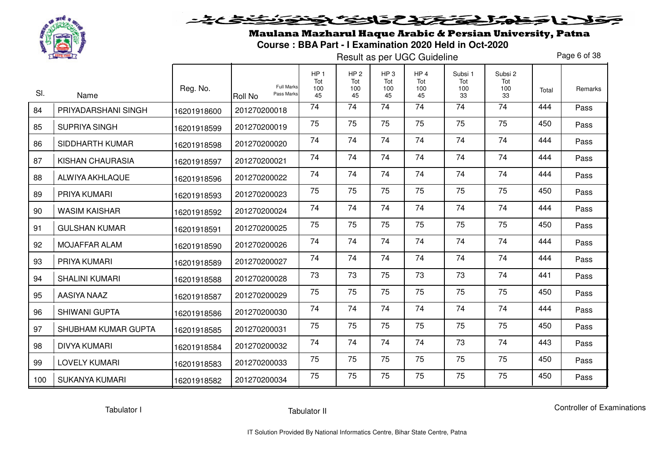

Maulana Mazharul Haque Arabic & Persian University, Patna**Course : BBA Part - I Examination 2020 Held in Oct-2020** 

Result as per UGC Guideline

Page 6 of 38

| SI. | Name                  | Reg. No.    | <b>Full Marks</b><br>Pass Marks<br><b>Roll No</b> | HP <sub>1</sub><br>Tot<br>100<br>45 | HP <sub>2</sub><br>Tot<br>100<br>45 | HP <sub>3</sub><br>Tot<br>100<br>45 | HP <sub>4</sub><br>Tot<br>100<br>45 | Subsi 1<br>Tot<br>100<br>33 | Subsi 2<br>Tot<br>100<br>33 | Total | Remarks |
|-----|-----------------------|-------------|---------------------------------------------------|-------------------------------------|-------------------------------------|-------------------------------------|-------------------------------------|-----------------------------|-----------------------------|-------|---------|
| 84  | PRIYADARSHANI SINGH   | 16201918600 | 201270200018                                      | 74                                  | 74                                  | 74                                  | 74                                  | $\overline{74}$             | 74                          | 444   | Pass    |
| 85  | SUPRIYA SINGH         | 16201918599 | 201270200019                                      | 75                                  | 75                                  | 75                                  | 75                                  | 75                          | 75                          | 450   | Pass    |
| 86  | SIDDHARTH KUMAR       | 16201918598 | 201270200020                                      | 74                                  | 74                                  | 74                                  | 74                                  | 74                          | 74                          | 444   | Pass    |
| 87  | KISHAN CHAURASIA      | 16201918597 | 201270200021                                      | 74                                  | 74                                  | 74                                  | 74                                  | 74                          | 74                          | 444   | Pass    |
| 88  | ALWIYA AKHLAQUE       | 16201918596 | 201270200022                                      | 74                                  | 74                                  | 74                                  | 74                                  | 74                          | 74                          | 444   | Pass    |
| 89  | PRIYA KUMARI          | 16201918593 | 201270200023                                      | 75                                  | 75                                  | 75                                  | 75                                  | 75                          | 75                          | 450   | Pass    |
| 90  | <b>WASIM KAISHAR</b>  | 16201918592 | 201270200024                                      | 74                                  | 74                                  | 74                                  | 74                                  | 74                          | 74                          | 444   | Pass    |
| 91  | <b>GULSHAN KUMAR</b>  | 16201918591 | 201270200025                                      | 75                                  | 75                                  | 75                                  | 75                                  | 75                          | 75                          | 450   | Pass    |
| 92  | <b>MOJAFFAR ALAM</b>  | 16201918590 | 201270200026                                      | 74                                  | 74                                  | 74                                  | 74                                  | 74                          | 74                          | 444   | Pass    |
| 93  | PRIYA KUMARI          | 16201918589 | 201270200027                                      | 74                                  | 74                                  | 74                                  | 74                                  | 74                          | 74                          | 444   | Pass    |
| 94  | <b>SHALINI KUMARI</b> | 16201918588 | 201270200028                                      | 73                                  | 73                                  | 75                                  | 73                                  | 73                          | 74                          | 441   | Pass    |
| 95  | AASIYA NAAZ           | 16201918587 | 201270200029                                      | 75                                  | 75                                  | 75                                  | 75                                  | 75                          | 75                          | 450   | Pass    |
| 96  | <b>SHIWANI GUPTA</b>  | 16201918586 | 201270200030                                      | 74                                  | 74                                  | 74                                  | 74                                  | 74                          | 74                          | 444   | Pass    |
| 97  | SHUBHAM KUMAR GUPTA   | 16201918585 | 201270200031                                      | 75                                  | 75                                  | 75                                  | 75                                  | 75                          | 75                          | 450   | Pass    |
| 98  | <b>DIVYA KUMARI</b>   | 16201918584 | 201270200032                                      | 74                                  | 74                                  | 74                                  | 74                                  | 73                          | 74                          | 443   | Pass    |
| 99  | <b>LOVELY KUMARI</b>  | 16201918583 | 201270200033                                      | 75                                  | 75                                  | 75                                  | 75                                  | 75                          | 75                          | 450   | Pass    |
| 100 | SUKANYA KUMARI        | 16201918582 | 201270200034                                      | 75                                  | 75                                  | 75                                  | 75                                  | 75                          | 75                          | 450   | Pass    |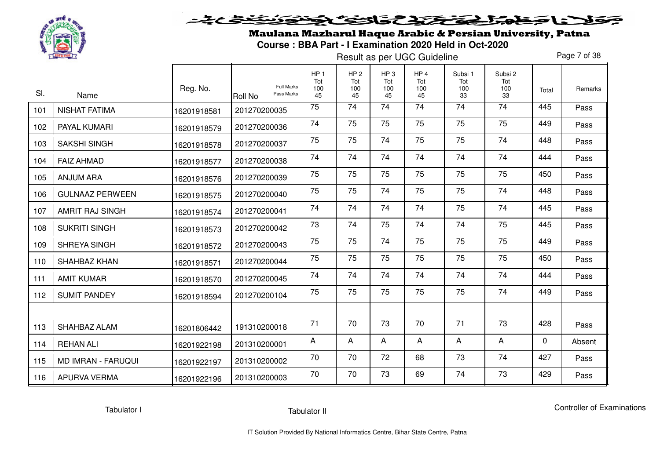

Maulana Mazharul Haque Arabic & Persian University, Patna**Course : BBA Part - I Examination 2020 Held in Oct-2020** 

Result as per UGC Guideline

Page 7 of 38

| SI. | Name                      | Reg. No.    | <b>Full Marks</b><br>Pass Marks<br>Roll No | HP <sub>1</sub><br>Tot<br>100<br>45 | HP <sub>2</sub><br>Tot<br>100<br>45 | HP <sub>3</sub><br>Tot<br>100<br>45 | HP <sub>4</sub><br>Tot<br>100<br>45 | Subsi 1<br>Tot<br>100<br>33 | Subsi 2<br>Tot<br>100<br>33 | Total | Remarks |
|-----|---------------------------|-------------|--------------------------------------------|-------------------------------------|-------------------------------------|-------------------------------------|-------------------------------------|-----------------------------|-----------------------------|-------|---------|
| 101 | <b>NISHAT FATIMA</b>      | 16201918581 | 201270200035                               | 75                                  | 74                                  | 74                                  | 74                                  | 74                          | 74                          | 445   | Pass    |
| 102 | PAYAL KUMARI              | 16201918579 | 201270200036                               | 74                                  | 75                                  | 75                                  | 75                                  | 75                          | 75                          | 449   | Pass    |
| 103 | <b>SAKSHI SINGH</b>       | 16201918578 | 201270200037                               | 75                                  | 75                                  | 74                                  | 75                                  | 75                          | 74                          | 448   | Pass    |
| 104 | <b>FAIZ AHMAD</b>         | 16201918577 | 201270200038                               | 74                                  | 74                                  | 74                                  | 74                                  | 74                          | 74                          | 444   | Pass    |
| 105 | <b>ANJUM ARA</b>          | 16201918576 | 201270200039                               | 75                                  | 75                                  | 75                                  | 75                                  | 75                          | 75                          | 450   | Pass    |
| 106 | <b>GULNAAZ PERWEEN</b>    | 16201918575 | 201270200040                               | 75                                  | 75                                  | 74                                  | 75                                  | 75                          | 74                          | 448   | Pass    |
| 107 | <b>AMRIT RAJ SINGH</b>    | 16201918574 | 201270200041                               | 74                                  | 74                                  | 74                                  | 74                                  | 75                          | 74                          | 445   | Pass    |
| 108 | <b>SUKRITI SINGH</b>      | 16201918573 | 201270200042                               | 73                                  | 74                                  | 75                                  | 74                                  | 74                          | 75                          | 445   | Pass    |
| 109 | SHREYA SINGH              | 16201918572 | 201270200043                               | 75                                  | 75                                  | 74                                  | 75                                  | 75                          | 75                          | 449   | Pass    |
| 110 | SHAHBAZ KHAN              | 16201918571 | 201270200044                               | 75                                  | 75                                  | 75                                  | 75                                  | 75                          | 75                          | 450   | Pass    |
| 111 | <b>AMIT KUMAR</b>         | 16201918570 | 201270200045                               | 74                                  | 74                                  | 74                                  | 74                                  | 74                          | 74                          | 444   | Pass    |
| 112 | <b>SUMIT PANDEY</b>       | 16201918594 | 201270200104                               | 75                                  | 75                                  | 75                                  | 75                                  | 75                          | 74                          | 449   | Pass    |
|     |                           |             |                                            |                                     |                                     |                                     |                                     |                             |                             |       |         |
| 113 | SHAHBAZ ALAM              | 16201806442 | 191310200018                               | 71                                  | 70                                  | 73                                  | 70                                  | 71                          | 73                          | 428   | Pass    |
| 114 | <b>REHAN ALI</b>          | 16201922198 | 201310200001                               | A                                   | A                                   | A                                   | A                                   | A                           | A                           | 0     | Absent  |
| 115 | <b>MD IMRAN - FARUQUI</b> | 16201922197 | 201310200002                               | 70                                  | 70                                  | 72                                  | 68                                  | 73                          | 74                          | 427   | Pass    |
| 116 | <b>APURVA VERMA</b>       | 16201922196 | 201310200003                               | 70                                  | 70                                  | 73                                  | 69                                  | 74                          | 73                          | 429   | Pass    |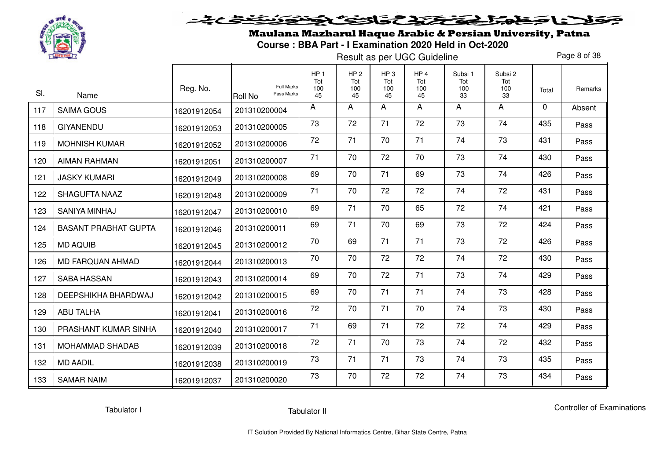

Maulana Mazharul Haque Arabic & Persian University, Patna**Course : BBA Part - I Examination 2020 Held in Oct-2020** 

Result as per UGC Guideline

Page 8 of 38

| SI. | Name                        | Reg. No.    | <b>Full Marks</b><br>Pass Marks<br><b>Roll No</b> | HP <sub>1</sub><br>Tot<br>100<br>45 | HP <sub>2</sub><br>Tot<br>100<br>45 | HP <sub>3</sub><br>Tot<br>100<br>45 | HP <sub>4</sub><br>Tot<br>100<br>45 | Subsi 1<br>Tot<br>100<br>33 | Subsi 2<br>Tot<br>100<br>33 | Total    | Remarks |
|-----|-----------------------------|-------------|---------------------------------------------------|-------------------------------------|-------------------------------------|-------------------------------------|-------------------------------------|-----------------------------|-----------------------------|----------|---------|
| 117 | <b>SAIMA GOUS</b>           | 16201912054 | 201310200004                                      | A                                   | A                                   | A                                   | A                                   | A                           | A                           | $\Omega$ | Absent  |
| 118 | <b>GIYANENDU</b>            | 16201912053 | 201310200005                                      | 73                                  | 72                                  | 71                                  | 72                                  | 73                          | 74                          | 435      | Pass    |
| 119 | <b>MOHNISH KUMAR</b>        | 16201912052 | 201310200006                                      | 72                                  | 71                                  | 70                                  | 71                                  | 74                          | 73                          | 431      | Pass    |
| 120 | <b>AIMAN RAHMAN</b>         | 16201912051 | 201310200007                                      | 71                                  | 70                                  | 72                                  | 70                                  | 73                          | 74                          | 430      | Pass    |
| 121 | <b>JASKY KUMARI</b>         | 16201912049 | 201310200008                                      | 69                                  | 70                                  | 71                                  | 69                                  | 73                          | 74                          | 426      | Pass    |
| 122 | <b>SHAGUFTA NAAZ</b>        | 16201912048 | 201310200009                                      | 71                                  | 70                                  | 72                                  | 72                                  | 74                          | 72                          | 431      | Pass    |
| 123 | SANIYA MINHAJ               | 16201912047 | 201310200010                                      | 69                                  | 71                                  | 70                                  | 65                                  | 72                          | 74                          | 421      | Pass    |
| 124 | <b>BASANT PRABHAT GUPTA</b> | 16201912046 | 201310200011                                      | 69                                  | 71                                  | 70                                  | 69                                  | 73                          | 72                          | 424      | Pass    |
| 125 | <b>MD AQUIB</b>             | 16201912045 | 201310200012                                      | 70                                  | 69                                  | 71                                  | 71                                  | 73                          | 72                          | 426      | Pass    |
| 126 | MD FARQUAN AHMAD            | 16201912044 | 201310200013                                      | 70                                  | 70                                  | 72                                  | 72                                  | 74                          | 72                          | 430      | Pass    |
| 127 | <b>SABA HASSAN</b>          | 16201912043 | 201310200014                                      | 69                                  | 70                                  | 72                                  | 71                                  | 73                          | 74                          | 429      | Pass    |
| 128 | DEEPSHIKHA BHARDWAJ         | 16201912042 | 201310200015                                      | 69                                  | 70                                  | 71                                  | 71                                  | 74                          | 73                          | 428      | Pass    |
| 129 | <b>ABU TALHA</b>            | 16201912041 | 201310200016                                      | 72                                  | 70                                  | 71                                  | 70                                  | 74                          | 73                          | 430      | Pass    |
| 130 | PRASHANT KUMAR SINHA        | 16201912040 | 201310200017                                      | 71                                  | 69                                  | 71                                  | 72                                  | 72                          | 74                          | 429      | Pass    |
| 131 | <b>MOHAMMAD SHADAB</b>      | 16201912039 | 201310200018                                      | 72                                  | 71                                  | 70                                  | 73                                  | 74                          | 72                          | 432      | Pass    |
| 132 | <b>MD AADIL</b>             | 16201912038 | 201310200019                                      | 73                                  | 71                                  | 71                                  | 73                                  | 74                          | 73                          | 435      | Pass    |
| 133 | <b>SAMAR NAIM</b>           | 16201912037 | 201310200020                                      | 73                                  | 70                                  | 72                                  | 72                                  | 74                          | 73                          | 434      | Pass    |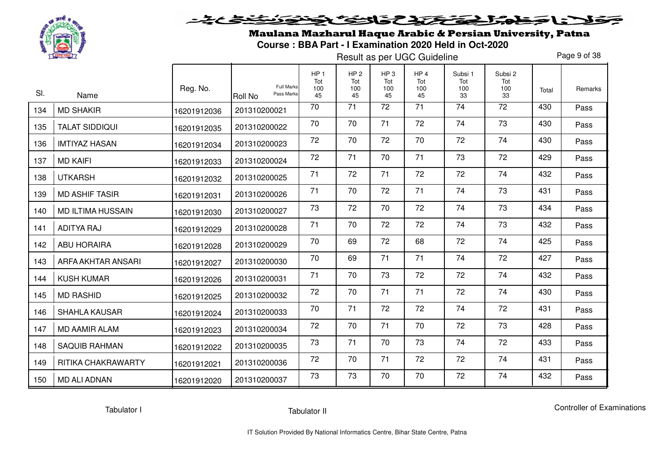

# <u>خخخ کی تو د</u> فلانا حفاه الحفظ والث والتفافض

Maulana Mazharul Haque Arabic & Persian University, Patna**Course : BBA Part - I Examination 2020 Held in Oct-2020** 

Result as per UGC Guideline

Page 9 of 38

| SI. | Name                     | Reg. No.    | <b>Full Marks</b><br>Pass Marks<br><b>Roll No</b> | HP <sub>1</sub><br>Tot<br>100<br>45 | HP <sub>2</sub><br>Tot<br>100<br>45 | HP <sub>3</sub><br>Tot<br>100<br>45 | HP <sub>4</sub><br>Tot<br>100<br>45 | Subsi 1<br>Tot<br>100<br>33 | Subsi 2<br>Tot<br>100<br>33 | Total | Remarks |
|-----|--------------------------|-------------|---------------------------------------------------|-------------------------------------|-------------------------------------|-------------------------------------|-------------------------------------|-----------------------------|-----------------------------|-------|---------|
| 134 | <b>MD SHAKIR</b>         | 16201912036 | 201310200021                                      | 70                                  | $\overline{71}$                     | 72                                  | 71                                  | $\overline{74}$             | $\overline{72}$             | 430   | Pass    |
| 135 | <b>TALAT SIDDIQUI</b>    | 16201912035 | 201310200022                                      | 70                                  | 70                                  | 71                                  | 72                                  | 74                          | 73                          | 430   | Pass    |
| 136 | <b>IMTIYAZ HASAN</b>     | 16201912034 | 201310200023                                      | 72                                  | 70                                  | 72                                  | 70                                  | 72                          | 74                          | 430   | Pass    |
| 137 | <b>MD KAIFI</b>          | 16201912033 | 201310200024                                      | 72                                  | 71                                  | 70                                  | 71                                  | 73                          | 72                          | 429   | Pass    |
| 138 | <b>UTKARSH</b>           | 16201912032 | 201310200025                                      | 71                                  | 72                                  | 71                                  | 72                                  | 72                          | 74                          | 432   | Pass    |
| 139 | <b>MD ASHIF TASIR</b>    | 16201912031 | 201310200026                                      | 71                                  | 70                                  | 72                                  | 71                                  | 74                          | 73                          | 431   | Pass    |
| 140 | <b>MD ILTIMA HUSSAIN</b> | 16201912030 | 201310200027                                      | 73                                  | 72                                  | 70                                  | 72                                  | 74                          | 73                          | 434   | Pass    |
| 141 | <b>ADITYA RAJ</b>        | 16201912029 | 201310200028                                      | 71                                  | 70                                  | 72                                  | 72                                  | 74                          | 73                          | 432   | Pass    |
| 142 | <b>ABU HORAIRA</b>       | 16201912028 | 201310200029                                      | 70                                  | 69                                  | 72                                  | 68                                  | 72                          | 74                          | 425   | Pass    |
| 143 | ARFA AKHTAR ANSARI       | 16201912027 | 201310200030                                      | 70                                  | 69                                  | 71                                  | 71                                  | 74                          | 72                          | 427   | Pass    |
| 144 | <b>KUSH KUMAR</b>        | 16201912026 | 201310200031                                      | 71                                  | 70                                  | 73                                  | 72                                  | 72                          | 74                          | 432   | Pass    |
| 145 | <b>MD RASHID</b>         | 16201912025 | 201310200032                                      | 72                                  | 70                                  | 71                                  | 71                                  | 72                          | 74                          | 430   | Pass    |
| 146 | <b>SHAHLA KAUSAR</b>     | 16201912024 | 201310200033                                      | 70                                  | 71                                  | 72                                  | 72                                  | 74                          | 72                          | 431   | Pass    |
| 147 | <b>MD AAMIR ALAM</b>     | 16201912023 | 201310200034                                      | 72                                  | 70                                  | 71                                  | 70                                  | 72                          | 73                          | 428   | Pass    |
| 148 | <b>SAQUIB RAHMAN</b>     | 16201912022 | 201310200035                                      | 73                                  | 71                                  | 70                                  | 73                                  | 74                          | 72                          | 433   | Pass    |
| 149 | RITIKA CHAKRAWARTY       | 16201912021 | 201310200036                                      | 72                                  | 70                                  | 71                                  | 72                                  | 72                          | 74                          | 431   | Pass    |
| 150 | <b>MD ALI ADNAN</b>      | 16201912020 | 201310200037                                      | 73                                  | 73                                  | 70                                  | 70                                  | 72                          | 74                          | 432   | Pass    |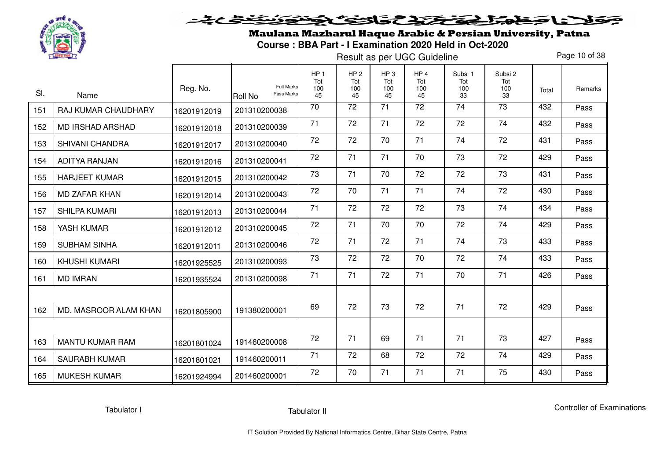

Maulana Mazharul Haque Arabic & Persian University, Patna**Course : BBA Part - I Examination 2020 Held in Oct-2020** 

Result as per UGC Guideline

Page 10 of 38

| SI. | Name                    | Reg. No.    | <b>Full Marks</b><br>Pass Marks<br><b>Roll No</b> | HP <sub>1</sub><br>Tot<br>100<br>45 | HP <sub>2</sub><br>Tot<br>100<br>45 | HP <sub>3</sub><br>Tot<br>100<br>45 | HP <sub>4</sub><br>Tot<br>100<br>45 | Subsi 1<br>Tot<br>100<br>33 | Subsi 2<br>Tot<br>100<br>33 | Total | Remarks |
|-----|-------------------------|-------------|---------------------------------------------------|-------------------------------------|-------------------------------------|-------------------------------------|-------------------------------------|-----------------------------|-----------------------------|-------|---------|
| 151 | RAJ KUMAR CHAUDHARY     | 16201912019 | 201310200038                                      | 70                                  | $\overline{72}$                     | 71                                  | 72                                  | $\overline{74}$             | $\overline{73}$             | 432   | Pass    |
| 152 | <b>MD IRSHAD ARSHAD</b> | 16201912018 | 201310200039                                      | 71                                  | 72                                  | 71                                  | 72                                  | 72                          | 74                          | 432   | Pass    |
| 153 | SHIVANI CHANDRA         | 16201912017 | 201310200040                                      | 72                                  | 72                                  | 70                                  | 71                                  | 74                          | 72                          | 431   | Pass    |
| 154 | <b>ADITYA RANJAN</b>    | 16201912016 | 201310200041                                      | 72                                  | 71                                  | 71                                  | 70                                  | 73                          | 72                          | 429   | Pass    |
| 155 | <b>HARJEET KUMAR</b>    | 16201912015 | 201310200042                                      | 73                                  | 71                                  | 70                                  | 72                                  | 72                          | 73                          | 431   | Pass    |
| 156 | <b>MD ZAFAR KHAN</b>    | 16201912014 | 201310200043                                      | 72                                  | 70                                  | 71                                  | 71                                  | 74                          | 72                          | 430   | Pass    |
| 157 | <b>SHILPA KUMARI</b>    | 16201912013 | 201310200044                                      | 71                                  | 72                                  | 72                                  | 72                                  | 73                          | 74                          | 434   | Pass    |
| 158 | YASH KUMAR              | 16201912012 | 201310200045                                      | 72                                  | 71                                  | 70                                  | 70                                  | 72                          | 74                          | 429   | Pass    |
| 159 | <b>SUBHAM SINHA</b>     | 16201912011 | 201310200046                                      | 72                                  | 71                                  | 72                                  | 71                                  | 74                          | 73                          | 433   | Pass    |
| 160 | <b>KHUSHI KUMARI</b>    | 16201925525 | 201310200093                                      | 73                                  | 72                                  | 72                                  | 70                                  | 72                          | 74                          | 433   | Pass    |
| 161 | <b>MD IMRAN</b>         | 16201935524 | 201310200098                                      | 71                                  | 71                                  | 72                                  | 71                                  | 70                          | 71                          | 426   | Pass    |
| 162 | MD. MASROOR ALAM KHAN   | 16201805900 | 191380200001                                      | 69                                  | 72                                  | 73                                  | 72                                  | 71                          | 72                          | 429   | Pass    |
|     |                         |             |                                                   |                                     |                                     |                                     |                                     |                             |                             |       |         |
| 163 | <b>MANTU KUMAR RAM</b>  | 16201801024 | 191460200008                                      | 72                                  | 71                                  | 69                                  | 71                                  | 71                          | 73                          | 427   | Pass    |
| 164 | <b>SAURABH KUMAR</b>    | 16201801021 | 191460200011                                      | 71                                  | 72                                  | 68                                  | 72                                  | 72                          | 74                          | 429   | Pass    |
| 165 | <b>MUKESH KUMAR</b>     | 16201924994 | 201460200001                                      | 72                                  | 70                                  | 71                                  | 71                                  | 71                          | 75                          | 430   | Pass    |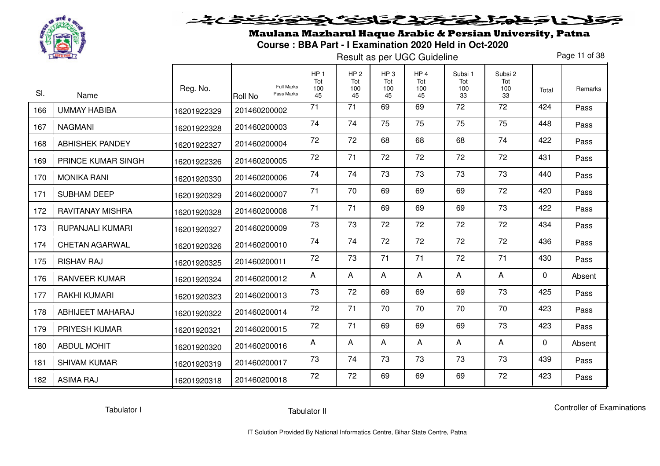

Maulana Mazharul Haque Arabic & Persian University, Patna**Course : BBA Part - I Examination 2020 Held in Oct-2020** 

Result as per UGC Guideline

Page 11 of 38

| SI. |                             | Reg. No.    | <b>Full Marks</b><br>Pass Marks | HP <sub>1</sub><br>Tot<br>100 | HP <sub>2</sub><br>Tot<br>100 | HP <sub>3</sub><br>Tot<br>100 | HP <sub>4</sub><br>Tot<br>100 | Subsi 1<br>Tot<br>100 | Subsi 2<br>Tot<br>100 | Total | Remarks |
|-----|-----------------------------|-------------|---------------------------------|-------------------------------|-------------------------------|-------------------------------|-------------------------------|-----------------------|-----------------------|-------|---------|
| 166 | Name<br><b>UMMAY HABIBA</b> | 16201922329 | Roll No<br>201460200002         | 45<br>71                      | 45<br>$\overline{71}$         | 45<br>69                      | 45<br>69                      | 33<br>$\overline{72}$ | 33<br>$\overline{72}$ | 424   | Pass    |
| 167 | <b>NAGMANI</b>              | 16201922328 | 201460200003                    | 74                            | 74                            | 75                            | 75                            | 75                    | 75                    | 448   | Pass    |
| 168 | <b>ABHISHEK PANDEY</b>      | 16201922327 | 201460200004                    | 72                            | 72                            | 68                            | 68                            | 68                    | 74                    | 422   | Pass    |
| 169 | <b>PRINCE KUMAR SINGH</b>   | 16201922326 | 201460200005                    | 72                            | 71                            | 72                            | 72                            | 72                    | 72                    | 431   | Pass    |
| 170 | <b>MONIKA RANI</b>          | 16201920330 | 201460200006                    | 74                            | 74                            | 73                            | 73                            | 73                    | 73                    | 440   | Pass    |
| 171 | <b>SUBHAM DEEP</b>          | 16201920329 | 201460200007                    | 71                            | 70                            | 69                            | 69                            | 69                    | 72                    | 420   | Pass    |
| 172 | <b>RAVITANAY MISHRA</b>     | 16201920328 | 201460200008                    | 71                            | 71                            | 69                            | 69                            | 69                    | 73                    | 422   | Pass    |
| 173 | RUPANJALI KUMARI            | 16201920327 | 201460200009                    | 73                            | 73                            | 72                            | 72                            | 72                    | 72                    | 434   | Pass    |
| 174 | <b>CHETAN AGARWAL</b>       | 16201920326 | 201460200010                    | 74                            | 74                            | 72                            | 72                            | 72                    | 72                    | 436   | Pass    |
| 175 | <b>RISHAV RAJ</b>           | 16201920325 | 201460200011                    | 72                            | 73                            | 71                            | 71                            | 72                    | 71                    | 430   | Pass    |
| 176 | <b>RANVEER KUMAR</b>        | 16201920324 | 201460200012                    | $\mathsf{A}$                  | A                             | A                             | A                             | A                     | A                     | 0     | Absent  |
| 177 | <b>RAKHI KUMARI</b>         | 16201920323 | 201460200013                    | 73                            | 72                            | 69                            | 69                            | 69                    | 73                    | 425   | Pass    |
| 178 | ABHIJEET MAHARAJ            | 16201920322 | 201460200014                    | 72                            | 71                            | 70                            | 70                            | 70                    | 70                    | 423   | Pass    |
| 179 | <b>PRIYESH KUMAR</b>        | 16201920321 | 201460200015                    | 72                            | 71                            | 69                            | 69                            | 69                    | 73                    | 423   | Pass    |
| 180 | <b>ABDUL MOHIT</b>          | 16201920320 | 201460200016                    | A                             | A                             | A                             | A                             | A                     | A                     | 0     | Absent  |
| 181 | <b>SHIVAM KUMAR</b>         | 16201920319 | 201460200017                    | 73                            | 74                            | 73                            | 73                            | 73                    | 73                    | 439   | Pass    |
| 182 | <b>ASIMA RAJ</b>            | 16201920318 | 201460200018                    | 72                            | 72                            | 69                            | 69                            | 69                    | 72                    | 423   | Pass    |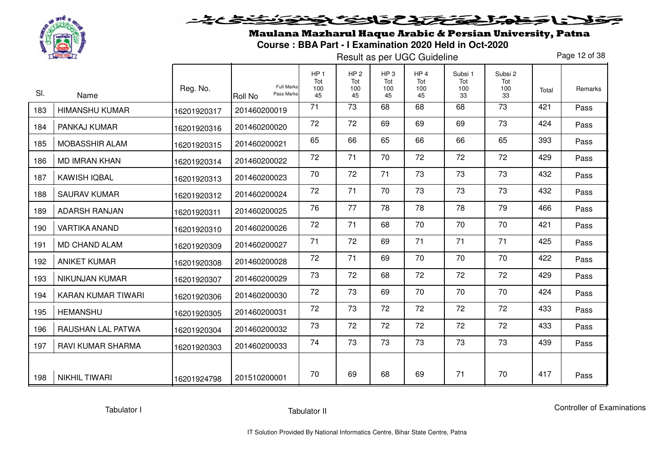

Maulana Mazharul Haque Arabic & Persian University, Patna**Course : BBA Part - I Examination 2020 Held in Oct-2020** 

Result as per UGC Guideline

Page 12 of 38

|     |                          | Reg. No.    | <b>Full Marks</b>     | HP <sub>1</sub><br>Tot<br>100 | HP <sub>2</sub><br>Tot<br>100 | HP <sub>3</sub><br>Tot<br>100 | HP <sub>4</sub><br>Tot<br>100 | Subsi 1<br>Tot<br>100 | Subsi 2<br>Tot<br>100 | Total | Remarks |
|-----|--------------------------|-------------|-----------------------|-------------------------------|-------------------------------|-------------------------------|-------------------------------|-----------------------|-----------------------|-------|---------|
| SI. | Name                     |             | Pass Marks<br>Roll No | 45                            | 45                            | 45                            | 45                            | 33                    | 33                    |       |         |
| 183 | <b>HIMANSHU KUMAR</b>    | 16201920317 | 201460200019          | 71                            | 73                            | 68                            | 68                            | 68                    | 73                    | 421   | Pass    |
| 184 | PANKAJ KUMAR             | 16201920316 | 201460200020          | 72                            | 72                            | 69                            | 69                            | 69                    | 73                    | 424   | Pass    |
| 185 | MOBASSHIR ALAM           | 16201920315 | 201460200021          | 65                            | 66                            | 65                            | 66                            | 66                    | 65                    | 393   | Pass    |
| 186 | <b>MD IMRAN KHAN</b>     | 16201920314 | 201460200022          | 72                            | 71                            | 70                            | 72                            | 72                    | 72                    | 429   | Pass    |
| 187 | <b>KAWISH IQBAL</b>      | 16201920313 | 201460200023          | 70                            | 72                            | 71                            | 73                            | 73                    | 73                    | 432   | Pass    |
| 188 | <b>SAURAV KUMAR</b>      | 16201920312 | 201460200024          | 72                            | 71                            | 70                            | 73                            | 73                    | 73                    | 432   | Pass    |
| 189 | <b>ADARSH RANJAN</b>     | 16201920311 | 201460200025          | 76                            | 77                            | 78                            | 78                            | 78                    | 79                    | 466   | Pass    |
| 190 | <b>VARTIKA ANAND</b>     | 16201920310 | 201460200026          | 72                            | 71                            | 68                            | 70                            | 70                    | 70                    | 421   | Pass    |
| 191 | <b>MD CHAND ALAM</b>     | 16201920309 | 201460200027          | 71                            | 72                            | 69                            | 71                            | 71                    | 71                    | 425   | Pass    |
| 192 | <b>ANIKET KUMAR</b>      | 16201920308 | 201460200028          | 72                            | 71                            | 69                            | 70                            | 70                    | 70                    | 422   | Pass    |
| 193 | <b>NIKUNJAN KUMAR</b>    | 16201920307 | 201460200029          | 73                            | 72                            | 68                            | 72                            | 72                    | 72                    | 429   | Pass    |
| 194 | KARAN KUMAR TIWARI       | 16201920306 | 201460200030          | 72                            | 73                            | 69                            | 70                            | 70                    | 70                    | 424   | Pass    |
| 195 | <b>HEMANSHU</b>          | 16201920305 | 201460200031          | 72                            | 73                            | 72                            | 72                            | 72                    | 72                    | 433   | Pass    |
| 196 | RAUSHAN LAL PATWA        | 16201920304 | 201460200032          | 73                            | 72                            | 72                            | 72                            | 72                    | 72                    | 433   | Pass    |
| 197 | <b>RAVI KUMAR SHARMA</b> | 16201920303 | 201460200033          | 74                            | 73                            | 73                            | 73                            | 73                    | 73                    | 439   | Pass    |
| 198 | <b>NIKHIL TIWARI</b>     | 16201924798 | 201510200001          | 70                            | 69                            | 68                            | 69                            | 71                    | 70                    | 417   | Pass    |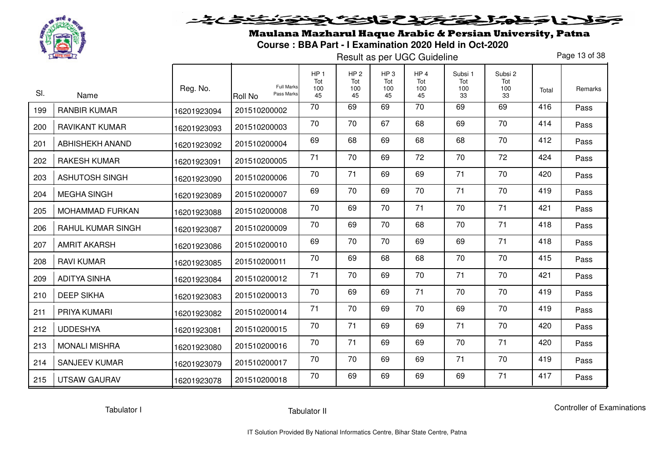

Maulana Mazharul Haque Arabic & Persian University, Patna**Course : BBA Part - I Examination 2020 Held in Oct-2020** 

Result as per UGC Guideline

Page 13 of 38

| SI. | Name                     | Reg. No.    | <b>Full Marks</b><br>Pass Marks<br><b>Roll No</b> | HP <sub>1</sub><br>Tot<br>100<br>45 | HP <sub>2</sub><br>Tot<br>100<br>45 | HP <sub>3</sub><br>Tot<br>100<br>45 | HP <sub>4</sub><br>Tot<br>100<br>45 | Subsi 1<br>Tot<br>100<br>33 | Subsi 2<br>Tot<br>100<br>33 | Total | Remarks |
|-----|--------------------------|-------------|---------------------------------------------------|-------------------------------------|-------------------------------------|-------------------------------------|-------------------------------------|-----------------------------|-----------------------------|-------|---------|
| 199 | <b>RANBIR KUMAR</b>      | 16201923094 | 201510200002                                      | 70                                  | 69                                  | 69                                  | 70                                  | 69                          | 69                          | 416   | Pass    |
| 200 | <b>RAVIKANT KUMAR</b>    | 16201923093 | 201510200003                                      | 70                                  | 70                                  | 67                                  | 68                                  | 69                          | 70                          | 414   | Pass    |
| 201 | ABHISHEKH ANAND          | 16201923092 | 201510200004                                      | 69                                  | 68                                  | 69                                  | 68                                  | 68                          | 70                          | 412   | Pass    |
| 202 | <b>RAKESH KUMAR</b>      | 16201923091 | 201510200005                                      | 71                                  | 70                                  | 69                                  | 72                                  | 70                          | 72                          | 424   | Pass    |
| 203 | <b>ASHUTOSH SINGH</b>    | 16201923090 | 201510200006                                      | 70                                  | 71                                  | 69                                  | 69                                  | 71                          | 70                          | 420   | Pass    |
| 204 | <b>MEGHA SINGH</b>       | 16201923089 | 201510200007                                      | 69                                  | 70                                  | 69                                  | 70                                  | 71                          | 70                          | 419   | Pass    |
| 205 | <b>MOHAMMAD FURKAN</b>   | 16201923088 | 201510200008                                      | 70                                  | 69                                  | 70                                  | 71                                  | 70                          | 71                          | 421   | Pass    |
| 206 | <b>RAHUL KUMAR SINGH</b> | 16201923087 | 201510200009                                      | 70                                  | 69                                  | 70                                  | 68                                  | 70                          | 71                          | 418   | Pass    |
| 207 | <b>AMRIT AKARSH</b>      | 16201923086 | 201510200010                                      | 69                                  | 70                                  | 70                                  | 69                                  | 69                          | 71                          | 418   | Pass    |
| 208 | <b>RAVI KUMAR</b>        | 16201923085 | 201510200011                                      | 70                                  | 69                                  | 68                                  | 68                                  | 70                          | 70                          | 415   | Pass    |
| 209 | <b>ADITYA SINHA</b>      | 16201923084 | 201510200012                                      | 71                                  | 70                                  | 69                                  | 70                                  | 71                          | 70                          | 421   | Pass    |
| 210 | <b>DEEP SIKHA</b>        | 16201923083 | 201510200013                                      | 70                                  | 69                                  | 69                                  | 71                                  | 70                          | 70                          | 419   | Pass    |
| 211 | PRIYA KUMARI             | 16201923082 | 201510200014                                      | 71                                  | 70                                  | 69                                  | 70                                  | 69                          | 70                          | 419   | Pass    |
| 212 | <b>UDDESHYA</b>          | 16201923081 | 201510200015                                      | 70                                  | 71                                  | 69                                  | 69                                  | 71                          | 70                          | 420   | Pass    |
| 213 | <b>MONALI MISHRA</b>     | 16201923080 | 201510200016                                      | 70                                  | 71                                  | 69                                  | 69                                  | 70                          | 71                          | 420   | Pass    |
| 214 | <b>SANJEEV KUMAR</b>     | 16201923079 | 201510200017                                      | 70                                  | 70                                  | 69                                  | 69                                  | 71                          | 70                          | 419   | Pass    |
| 215 | <b>UTSAW GAURAV</b>      | 16201923078 | 201510200018                                      | 70                                  | 69                                  | 69                                  | 69                                  | 69                          | 71                          | 417   | Pass    |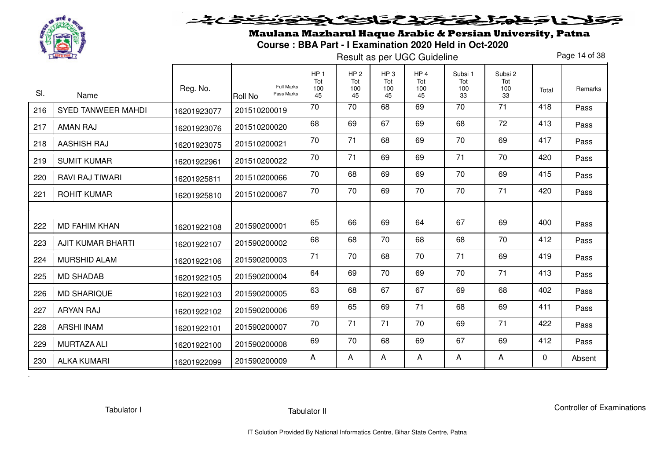

# فلان حفاهك فتختلفك فالتفك فجنون <u>خخخ کی تو د</u>

Maulana Mazharul Haque Arabic & Persian University, Patna**Course : BBA Part - I Examination 2020 Held in Oct-2020** 

Result as per UGC Guideline

Page 14 of 38

| SI. | Name                      | Reg. No.    | <b>Full Marks</b><br>Pass Marks<br><b>Roll No</b> | HP <sub>1</sub><br>Tot<br>100<br>45 | HP <sub>2</sub><br>Tot<br>100<br>45 | HP <sub>3</sub><br>Tot<br>100<br>45 | HP <sub>4</sub><br>Tot<br>100<br>45 | Subsi 1<br>Tot<br>100<br>33 | Subsi 2<br>Tot<br>100<br>33 | Total | Remarks |
|-----|---------------------------|-------------|---------------------------------------------------|-------------------------------------|-------------------------------------|-------------------------------------|-------------------------------------|-----------------------------|-----------------------------|-------|---------|
| 216 | <b>SYED TANWEER MAHDI</b> | 16201923077 | 201510200019                                      | $\overline{70}$                     | $\overline{70}$                     | 68                                  | 69                                  | $\overline{70}$             | $\overline{71}$             | 418   | Pass    |
| 217 | <b>AMAN RAJ</b>           | 16201923076 | 201510200020                                      | 68                                  | 69                                  | 67                                  | 69                                  | 68                          | 72                          | 413   | Pass    |
| 218 | <b>AASHISH RAJ</b>        | 16201923075 | 201510200021                                      | 70                                  | 71                                  | 68                                  | 69                                  | 70                          | 69                          | 417   | Pass    |
| 219 | <b>SUMIT KUMAR</b>        | 16201922961 | 201510200022                                      | 70                                  | 71                                  | 69                                  | 69                                  | 71                          | 70                          | 420   | Pass    |
| 220 | <b>RAVI RAJ TIWARI</b>    | 16201925811 | 201510200066                                      | 70                                  | 68                                  | 69                                  | 69                                  | 70                          | 69                          | 415   | Pass    |
| 221 | <b>ROHIT KUMAR</b>        | 16201925810 | 201510200067                                      | 70                                  | 70                                  | 69                                  | 70                                  | 70                          | 71                          | 420   | Pass    |
|     |                           |             |                                                   |                                     |                                     |                                     |                                     |                             |                             |       |         |
| 222 | <b>MD FAHIM KHAN</b>      | 16201922108 | 201590200001                                      | 65                                  | 66                                  | 69                                  | 64                                  | 67                          | 69                          | 400   | Pass    |
| 223 | <b>AJIT KUMAR BHARTI</b>  | 16201922107 | 201590200002                                      | 68                                  | 68                                  | 70                                  | 68                                  | 68                          | 70                          | 412   | Pass    |
| 224 | <b>MURSHID ALAM</b>       | 16201922106 | 201590200003                                      | 71                                  | 70                                  | 68                                  | 70                                  | 71                          | 69                          | 419   | Pass    |
| 225 | <b>MD SHADAB</b>          | 16201922105 | 201590200004                                      | 64                                  | 69                                  | 70                                  | 69                                  | 70                          | 71                          | 413   | Pass    |
| 226 | <b>MD SHARIQUE</b>        | 16201922103 | 201590200005                                      | 63                                  | 68                                  | 67                                  | 67                                  | 69                          | 68                          | 402   | Pass    |
| 227 | <b>ARYAN RAJ</b>          | 16201922102 | 201590200006                                      | 69                                  | 65                                  | 69                                  | 71                                  | 68                          | 69                          | 411   | Pass    |
| 228 | <b>ARSHI INAM</b>         | 16201922101 | 201590200007                                      | 70                                  | 71                                  | 71                                  | 70                                  | 69                          | 71                          | 422   | Pass    |
| 229 | <b>MURTAZA ALI</b>        | 16201922100 | 201590200008                                      | 69                                  | 70                                  | 68                                  | 69                                  | 67                          | 69                          | 412   | Pass    |
| 230 | <b>ALKA KUMARI</b>        | 16201922099 | 201590200009                                      | A                                   | A                                   | A                                   | A                                   | A                           | A                           | 0     | Absent  |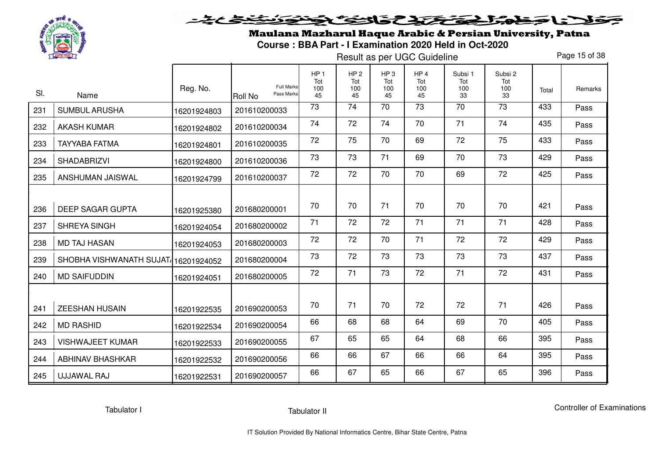

Maulana Mazharul Haque Arabic & Persian University, Patna**Course : BBA Part - I Examination 2020 Held in Oct-2020** 

Result as per UGC Guideline

Page 15 of 38

| SI. | Name                                | Reg. No.    | <b>Full Marks</b><br>Pass Marks<br><b>Roll No</b> | HP <sub>1</sub><br>Tot<br>100<br>45 | HP <sub>2</sub><br>Tot<br>100<br>45 | HP <sub>3</sub><br>Tot<br>100<br>45 | HP <sub>4</sub><br>Tot<br>100<br>45 | Subsi 1<br>Tot<br>100<br>33 | Subsi 2<br>Tot<br>100<br>33 | Total | Remarks |
|-----|-------------------------------------|-------------|---------------------------------------------------|-------------------------------------|-------------------------------------|-------------------------------------|-------------------------------------|-----------------------------|-----------------------------|-------|---------|
| 231 | <b>SUMBUL ARUSHA</b>                | 16201924803 | 201610200033                                      | 73                                  | $\overline{74}$                     | 70                                  | 73                                  | 70                          | $\overline{73}$             | 433   | Pass    |
| 232 | <b>AKASH KUMAR</b>                  | 16201924802 | 201610200034                                      | 74                                  | 72                                  | 74                                  | 70                                  | 71                          | 74                          | 435   | Pass    |
| 233 | <b>TAYYABA FATMA</b>                | 16201924801 | 201610200035                                      | 72                                  | 75                                  | 70                                  | 69                                  | 72                          | 75                          | 433   | Pass    |
| 234 | <b>SHADABRIZVI</b>                  | 16201924800 | 201610200036                                      | 73                                  | 73                                  | 71                                  | 69                                  | 70                          | 73                          | 429   | Pass    |
| 235 | ANSHUMAN JAISWAL                    | 16201924799 | 201610200037                                      | 72                                  | 72                                  | 70                                  | 70                                  | 69                          | 72                          | 425   | Pass    |
| 236 | <b>DEEP SAGAR GUPTA</b>             | 16201925380 | 201680200001                                      | 70                                  | 70                                  | 71                                  | 70                                  | 70                          | 70                          | 421   | Pass    |
| 237 | SHREYA SINGH                        | 16201924054 | 201680200002                                      | 71                                  | 72                                  | 72                                  | 71                                  | 71                          | 71                          | 428   | Pass    |
| 238 | <b>MD TAJ HASAN</b>                 | 16201924053 | 201680200003                                      | 72                                  | 72                                  | 70                                  | 71                                  | 72                          | 72                          | 429   | Pass    |
| 239 | SHOBHA VISHWANATH SUJAT/16201924052 |             | 201680200004                                      | 73                                  | 72                                  | 73                                  | 73                                  | 73                          | 73                          | 437   | Pass    |
| 240 | <b>MD SAIFUDDIN</b>                 | 16201924051 | 201680200005                                      | 72                                  | 71                                  | 73                                  | 72                                  | 71                          | 72                          | 431   | Pass    |
| 241 | ZEESHAN HUSAIN                      | 16201922535 | 201690200053                                      | 70                                  | 71                                  | 70                                  | 72                                  | 72                          | 71                          | 426   | Pass    |
| 242 | <b>MD RASHID</b>                    | 16201922534 | 201690200054                                      | 66                                  | 68                                  | 68                                  | 64                                  | 69                          | 70                          | 405   | Pass    |
| 243 | <b>VISHWAJEET KUMAR</b>             | 16201922533 | 201690200055                                      | 67                                  | 65                                  | 65                                  | 64                                  | 68                          | 66                          | 395   | Pass    |
| 244 | <b>ABHINAV BHASHKAR</b>             | 16201922532 | 201690200056                                      | 66                                  | 66                                  | 67                                  | 66                                  | 66                          | 64                          | 395   | Pass    |
| 245 | UJJAWAL RAJ                         | 16201922531 | 201690200057                                      | 66                                  | 67                                  | 65                                  | 66                                  | 67                          | 65                          | 396   | Pass    |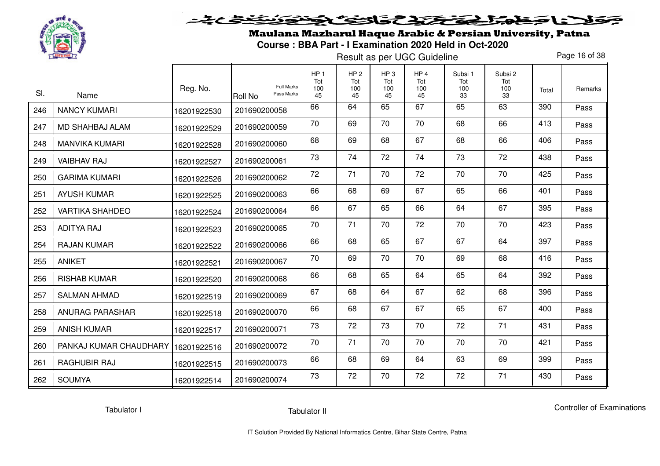

Maulana Mazharul Haque Arabic & Persian University, Patna**Course : BBA Part - I Examination 2020 Held in Oct-2020** 

Result as per UGC Guideline

Page 16 of 38

| SI. | Name                                 | Reg. No.    | <b>Full Marks</b><br>Pass Marks<br><b>Roll No</b> | HP <sub>1</sub><br>Tot<br>100<br>45 | HP <sub>2</sub><br>Tot<br>100<br>45 | HP <sub>3</sub><br>Tot<br>100<br>45 | HP <sub>4</sub><br>Tot<br>100<br>45 | Subsi 1<br>Tot<br>100<br>33 | Subsi 2<br>Tot<br>100<br>33 | Total | Remarks |
|-----|--------------------------------------|-------------|---------------------------------------------------|-------------------------------------|-------------------------------------|-------------------------------------|-------------------------------------|-----------------------------|-----------------------------|-------|---------|
| 246 | <b>NANCY KUMARI</b>                  | 16201922530 | 201690200058                                      | 66                                  | 64                                  | 65                                  | 67                                  | 65                          | 63                          | 390   | Pass    |
| 247 | MD SHAHBAJ ALAM                      | 16201922529 | 201690200059                                      | 70                                  | 69                                  | 70                                  | 70                                  | 68                          | 66                          | 413   | Pass    |
| 248 | <b>MANVIKA KUMARI</b>                | 16201922528 | 201690200060                                      | 68                                  | 69                                  | 68                                  | 67                                  | 68                          | 66                          | 406   | Pass    |
| 249 | <b>VAIBHAV RAJ</b>                   | 16201922527 | 201690200061                                      | 73                                  | 74                                  | 72                                  | 74                                  | 73                          | 72                          | 438   | Pass    |
| 250 | <b>GARIMA KUMARI</b>                 | 16201922526 | 201690200062                                      | 72                                  | 71                                  | 70                                  | 72                                  | 70                          | 70                          | 425   | Pass    |
| 251 | <b>AYUSH KUMAR</b>                   | 16201922525 | 201690200063                                      | 66                                  | 68                                  | 69                                  | 67                                  | 65                          | 66                          | 401   | Pass    |
| 252 | <b>VARTIKA SHAHDEO</b>               | 16201922524 | 201690200064                                      | 66                                  | 67                                  | 65                                  | 66                                  | 64                          | 67                          | 395   | Pass    |
| 253 | <b>ADITYA RAJ</b>                    | 16201922523 | 201690200065                                      | 70                                  | 71                                  | 70                                  | 72                                  | 70                          | 70                          | 423   | Pass    |
| 254 | <b>RAJAN KUMAR</b>                   | 16201922522 | 201690200066                                      | 66                                  | 68                                  | 65                                  | 67                                  | 67                          | 64                          | 397   | Pass    |
| 255 | <b>ANIKET</b>                        | 16201922521 | 201690200067                                      | 70                                  | 69                                  | 70                                  | 70                                  | 69                          | 68                          | 416   | Pass    |
| 256 | <b>RISHAB KUMAR</b>                  | 16201922520 | 201690200068                                      | 66                                  | 68                                  | 65                                  | 64                                  | 65                          | 64                          | 392   | Pass    |
| 257 | <b>SALMAN AHMAD</b>                  | 16201922519 | 201690200069                                      | 67                                  | 68                                  | 64                                  | 67                                  | 62                          | 68                          | 396   | Pass    |
| 258 | <b>ANURAG PARASHAR</b>               | 16201922518 | 201690200070                                      | 66                                  | 68                                  | 67                                  | 67                                  | 65                          | 67                          | 400   | Pass    |
| 259 | <b>ANISH KUMAR</b>                   | 16201922517 | 201690200071                                      | 73                                  | 72                                  | 73                                  | 70                                  | 72                          | 71                          | 431   | Pass    |
| 260 | PANKAJ KUMAR CHAUDHARY   16201922516 |             | 201690200072                                      | 70                                  | 71                                  | 70                                  | 70                                  | 70                          | 70                          | 421   | Pass    |
| 261 | RAGHUBIR RAJ                         | 16201922515 | 201690200073                                      | 66                                  | 68                                  | 69                                  | 64                                  | 63                          | 69                          | 399   | Pass    |
| 262 | <b>SOUMYA</b>                        | 16201922514 | 201690200074                                      | 73                                  | 72                                  | 70                                  | 72                                  | 72                          | 71                          | 430   | Pass    |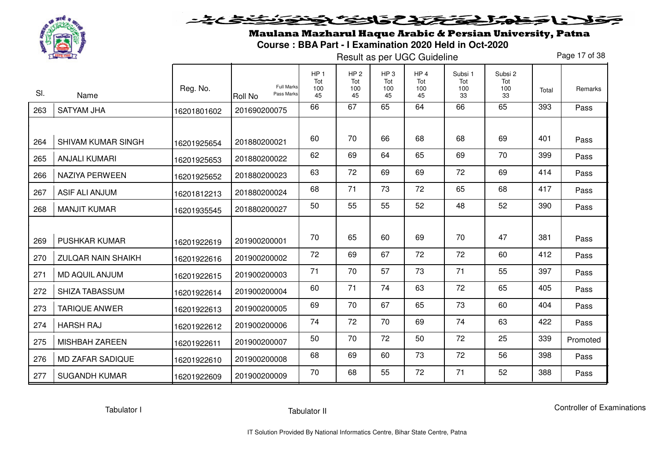

Maulana Mazharul Haque Arabic & Persian University, Patna**Course : BBA Part - I Examination 2020 Held in Oct-2020** 

Result as per UGC Guideline

Page 17 of 38

| SI. | Name                      | Reg. No.    | <b>Full Marks</b><br>Pass Marks<br>Roll No | HP <sub>1</sub><br>Tot<br>100<br>45 | HP <sub>2</sub><br>Tot<br>100<br>45 | HP <sub>3</sub><br>Tot<br>100<br>45 | HP <sub>4</sub><br>Tot<br>100<br>45 | Subsi 1<br>Tot<br>100<br>33 | Subsi 2<br>Tot<br>100<br>33 | Total | Remarks  |
|-----|---------------------------|-------------|--------------------------------------------|-------------------------------------|-------------------------------------|-------------------------------------|-------------------------------------|-----------------------------|-----------------------------|-------|----------|
| 263 | <b>SATYAM JHA</b>         | 16201801602 | 201690200075                               | 66                                  | 67                                  | 65                                  | 64                                  | 66                          | 65                          | 393   | Pass     |
| 264 | SHIVAM KUMAR SINGH        | 16201925654 | 201880200021                               | 60                                  | 70                                  | 66                                  | 68                                  | 68                          | 69                          | 401   | Pass     |
| 265 | <b>ANJALI KUMARI</b>      | 16201925653 | 201880200022                               | 62                                  | 69                                  | 64                                  | 65                                  | 69                          | 70                          | 399   | Pass     |
| 266 | <b>NAZIYA PERWEEN</b>     | 16201925652 | 201880200023                               | 63                                  | 72                                  | 69                                  | 69                                  | 72                          | 69                          | 414   | Pass     |
| 267 | <b>ASIF ALI ANJUM</b>     | 16201812213 | 201880200024                               | 68                                  | 71                                  | 73                                  | 72                                  | 65                          | 68                          | 417   | Pass     |
| 268 | <b>MANJIT KUMAR</b>       | 16201935545 | 201880200027                               | 50                                  | 55                                  | 55                                  | 52                                  | 48                          | 52                          | 390   | Pass     |
|     |                           |             |                                            |                                     |                                     |                                     |                                     |                             |                             |       |          |
| 269 | <b>PUSHKAR KUMAR</b>      | 16201922619 | 201900200001                               | 70                                  | 65                                  | 60                                  | 69                                  | 70                          | 47                          | 381   | Pass     |
| 270 | <b>ZULQAR NAIN SHAIKH</b> | 16201922616 | 201900200002                               | 72                                  | 69                                  | 67                                  | 72                                  | 72                          | 60                          | 412   | Pass     |
| 271 | <b>MD AQUIL ANJUM</b>     | 16201922615 | 201900200003                               | 71                                  | 70                                  | 57                                  | 73                                  | 71                          | 55                          | 397   | Pass     |
| 272 | <b>SHIZA TABASSUM</b>     | 16201922614 | 201900200004                               | 60                                  | 71                                  | 74                                  | 63                                  | 72                          | 65                          | 405   | Pass     |
| 273 | <b>TARIQUE ANWER</b>      | 16201922613 | 201900200005                               | 69                                  | 70                                  | 67                                  | 65                                  | 73                          | 60                          | 404   | Pass     |
| 274 | <b>HARSH RAJ</b>          | 16201922612 | 201900200006                               | 74                                  | 72                                  | 70                                  | 69                                  | 74                          | 63                          | 422   | Pass     |
| 275 | <b>MISHBAH ZAREEN</b>     | 16201922611 | 201900200007                               | 50                                  | 70                                  | 72                                  | 50                                  | 72                          | 25                          | 339   | Promoted |
| 276 | <b>MD ZAFAR SADIQUE</b>   | 16201922610 | 201900200008                               | 68                                  | 69                                  | 60                                  | 73                                  | 72                          | 56                          | 398   | Pass     |
| 277 | <b>SUGANDH KUMAR</b>      | 16201922609 | 201900200009                               | 70                                  | 68                                  | 55                                  | 72                                  | 71                          | 52                          | 388   | Pass     |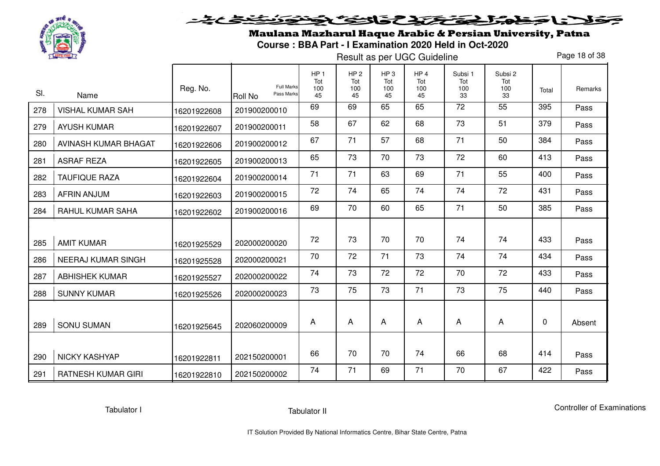

Maulana Mazharul Haque Arabic & Persian University, Patna**Course : BBA Part - I Examination 2020 Held in Oct-2020** 

Result as per UGC Guideline

Page 18 of 38

|     |                           | Reg. No.    | <b>Full Marks</b>            | HP <sub>1</sub><br>Tot<br>100 | HP <sub>2</sub><br>Tot<br>100 | HP <sub>3</sub><br>Tot<br>100 | HP <sub>4</sub><br>Tot<br>100 | Subsi 1<br>Tot<br>100 | Subsi 2<br>Tot<br>100 | Total | Remarks |
|-----|---------------------------|-------------|------------------------------|-------------------------------|-------------------------------|-------------------------------|-------------------------------|-----------------------|-----------------------|-------|---------|
| SI. | Name                      |             | Pass Marks<br><b>Roll No</b> | 45                            | 45                            | 45                            | 45                            | 33                    | 33                    |       |         |
| 278 | <b>VISHAL KUMAR SAH</b>   | 16201922608 | 201900200010                 | 69                            | 69                            | 65                            | 65                            | 72                    | 55                    | 395   | Pass    |
| 279 | <b>AYUSH KUMAR</b>        | 16201922607 | 201900200011                 | 58                            | 67                            | 62                            | 68                            | 73                    | 51                    | 379   | Pass    |
| 280 | AVINASH KUMAR BHAGAT      | 16201922606 | 201900200012                 | 67                            | 71                            | 57                            | 68                            | 71                    | 50                    | 384   | Pass    |
| 281 | <b>ASRAF REZA</b>         | 16201922605 | 201900200013                 | 65                            | 73                            | 70                            | 73                            | 72                    | 60                    | 413   | Pass    |
| 282 | <b>TAUFIQUE RAZA</b>      | 16201922604 | 201900200014                 | 71                            | 71                            | 63                            | 69                            | 71                    | 55                    | 400   | Pass    |
| 283 | <b>AFRIN ANJUM</b>        | 16201922603 | 201900200015                 | 72                            | 74                            | 65                            | 74                            | 74                    | 72                    | 431   | Pass    |
| 284 | RAHUL KUMAR SAHA          | 16201922602 | 201900200016                 | 69                            | 70                            | 60                            | 65                            | 71                    | 50                    | 385   | Pass    |
|     |                           |             |                              |                               |                               |                               |                               |                       |                       |       |         |
| 285 | <b>AMIT KUMAR</b>         | 16201925529 | 202000200020                 | 72                            | 73                            | 70                            | 70                            | 74                    | 74                    | 433   | Pass    |
| 286 | <b>NEERAJ KUMAR SINGH</b> | 16201925528 | 202000200021                 | 70                            | 72                            | 71                            | 73                            | 74                    | 74                    | 434   | Pass    |
| 287 | <b>ABHISHEK KUMAR</b>     | 16201925527 | 202000200022                 | 74                            | 73                            | 72                            | 72                            | 70                    | 72                    | 433   | Pass    |
| 288 | <b>SUNNY KUMAR</b>        | 16201925526 | 202000200023                 | 73                            | 75                            | 73                            | 71                            | 73                    | 75                    | 440   | Pass    |
| 289 | <b>SONU SUMAN</b>         | 16201925645 | 202060200009                 | A                             | A                             | A                             | A                             | A                     | A                     | 0     | Absent  |
|     |                           |             |                              |                               |                               |                               |                               |                       |                       |       |         |
| 290 | <b>NICKY KASHYAP</b>      | 16201922811 | 202150200001                 | 66                            | 70                            | 70                            | 74                            | 66                    | 68                    | 414   | Pass    |
| 291 | <b>RATNESH KUMAR GIRI</b> | 16201922810 | 202150200002                 | 74                            | 71                            | 69                            | 71                            | 70                    | 67                    | 422   | Pass    |

Tabulator I

Tabulator II

Controller of Examinations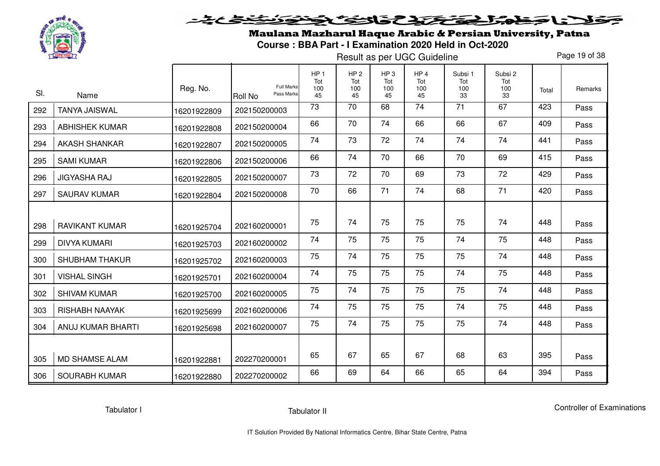

Maulana Mazharul Haque Arabic & Persian University, Patna**Course : BBA Part - I Examination 2020 Held in Oct-2020** 

Result as per UGC Guideline

Page 19 of 38

|     |                       |             | <b>Full Marks</b>     | HP <sub>1</sub><br>Tot | HP <sub>2</sub><br>Tot | HP <sub>3</sub><br>Tot | HP <sub>4</sub><br>Tot | Subsi 1<br>Tot  | Subsi 2<br>Tot |       |         |
|-----|-----------------------|-------------|-----------------------|------------------------|------------------------|------------------------|------------------------|-----------------|----------------|-------|---------|
| SI. | Name                  | Reg. No.    | Pass Marks<br>Roll No | 100<br>45              | 100<br>45              | 100<br>45              | 100<br>45              | 100<br>33       | 100<br>33      | Total | Remarks |
| 292 | <b>TANYA JAISWAL</b>  | 16201922809 | 202150200003          | $\overline{73}$        | $\overline{70}$        | 68                     | $\overline{74}$        | $\overline{71}$ | 67             | 423   | Pass    |
| 293 | <b>ABHISHEK KUMAR</b> | 16201922808 | 202150200004          | 66                     | 70                     | 74                     | 66                     | 66              | 67             | 409   | Pass    |
| 294 | <b>AKASH SHANKAR</b>  | 16201922807 | 202150200005          | 74                     | 73                     | 72                     | 74                     | 74              | 74             | 441   | Pass    |
| 295 | <b>SAMI KUMAR</b>     | 16201922806 | 202150200006          | 66                     | 74                     | 70                     | 66                     | 70              | 69             | 415   | Pass    |
| 296 | <b>JIGYASHA RAJ</b>   | 16201922805 | 202150200007          | 73                     | 72                     | 70                     | 69                     | 73              | 72             | 429   | Pass    |
| 297 | <b>SAURAV KUMAR</b>   | 16201922804 | 202150200008          | 70                     | 66                     | 71                     | 74                     | 68              | 71             | 420   | Pass    |
|     |                       |             |                       |                        |                        |                        |                        |                 |                |       |         |
| 298 | <b>RAVIKANT KUMAR</b> | 16201925704 | 202160200001          | 75                     | 74                     | 75                     | 75                     | 75              | 74             | 448   | Pass    |
| 299 | <b>DIVYA KUMARI</b>   | 16201925703 | 202160200002          | 74                     | 75                     | 75                     | 75                     | 74              | 75             | 448   | Pass    |
| 300 | <b>SHUBHAM THAKUR</b> | 16201925702 | 202160200003          | 75                     | 74                     | 75                     | 75                     | 75              | 74             | 448   | Pass    |
| 301 | <b>VISHAL SINGH</b>   | 16201925701 | 202160200004          | 74                     | 75                     | 75                     | 75                     | 74              | 75             | 448   | Pass    |
| 302 | <b>SHIVAM KUMAR</b>   | 16201925700 | 202160200005          | 75                     | 74                     | 75                     | 75                     | 75              | 74             | 448   | Pass    |
| 303 | <b>RISHABH NAAYAK</b> | 16201925699 | 202160200006          | 74                     | 75                     | 75                     | 75                     | 74              | 75             | 448   | Pass    |
| 304 | ANUJ KUMAR BHARTI     | 16201925698 | 202160200007          | 75                     | 74                     | 75                     | 75                     | 75              | 74             | 448   | Pass    |
|     |                       |             |                       |                        |                        |                        |                        |                 |                |       |         |
| 305 | <b>MD SHAMSE ALAM</b> | 16201922881 | 202270200001          | 65                     | 67                     | 65                     | 67                     | 68              | 63             | 395   | Pass    |
| 306 | <b>SOURABH KUMAR</b>  | 16201922880 | 202270200002          | 66                     | 69                     | 64                     | 66                     | 65              | 64             | 394   | Pass    |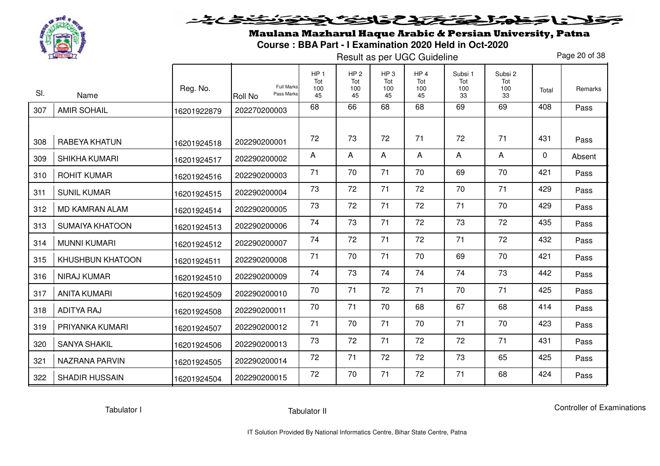

Maulana Mazharul Haque Arabic & Persian University, Patna**Course : BBA Part - I Examination 2020 Held in Oct-2020** 

Result as per UGC Guideline

Page 20 of 38

| SI. | Name                    | Reg. No.    | <b>Full Marks</b><br>Pass Marks<br>Roll No | HP <sub>1</sub><br>Tot<br>100<br>45 | HP <sub>2</sub><br>Tot<br>100<br>45 | HP <sub>3</sub><br>Tot<br>100<br>45 | HP <sub>4</sub><br>Tot<br>100<br>45 | Subsi 1<br>Tot<br>100<br>33 | Subsi 2<br>Tot<br>100<br>33 | Total        | Remarks |
|-----|-------------------------|-------------|--------------------------------------------|-------------------------------------|-------------------------------------|-------------------------------------|-------------------------------------|-----------------------------|-----------------------------|--------------|---------|
| 307 | <b>AMIR SOHAIL</b>      | 16201922879 | 202270200003                               | 68                                  | 66                                  | 68                                  | 68                                  | 69                          | 69                          | 408          | Pass    |
|     |                         |             |                                            |                                     |                                     |                                     |                                     |                             |                             |              |         |
| 308 | RABEYA KHATUN           | 16201924518 | 202290200001                               | 72                                  | 73                                  | 72                                  | 71                                  | 72                          | 71                          | 431          | Pass    |
| 309 | <b>SHIKHA KUMARI</b>    | 16201924517 | 202290200002                               | A                                   | A                                   | A                                   | A                                   | A                           | A                           | $\mathbf{0}$ | Absent  |
| 310 | <b>ROHIT KUMAR</b>      | 16201924516 | 202290200003                               | 71                                  | 70                                  | 71                                  | 70                                  | 69                          | 70                          | 421          | Pass    |
| 311 | <b>SUNIL KUMAR</b>      | 16201924515 | 202290200004                               | 73                                  | 72                                  | 71                                  | 72                                  | 70                          | 71                          | 429          | Pass    |
| 312 | <b>MD KAMRAN ALAM</b>   | 16201924514 | 202290200005                               | 73                                  | 72                                  | 71                                  | 72                                  | 71                          | 70                          | 429          | Pass    |
| 313 | <b>SUMAIYA KHATOON</b>  | 16201924513 | 202290200006                               | 74                                  | 73                                  | 71                                  | 72                                  | 73                          | 72                          | 435          | Pass    |
| 314 | <b>MUNNI KUMARI</b>     | 16201924512 | 202290200007                               | 74                                  | 72                                  | 71                                  | 72                                  | 71                          | 72                          | 432          | Pass    |
| 315 | <b>KHUSHBUN KHATOON</b> | 16201924511 | 202290200008                               | 71                                  | 70                                  | 71                                  | 70                                  | 69                          | 70                          | 421          | Pass    |
| 316 | <b>NIRAJ KUMAR</b>      | 16201924510 | 202290200009                               | 74                                  | 73                                  | 74                                  | 74                                  | 74                          | 73                          | 442          | Pass    |
| 317 | <b>ANITA KUMARI</b>     | 16201924509 | 202290200010                               | 70                                  | 71                                  | 72                                  | 71                                  | 70                          | 71                          | 425          | Pass    |
| 318 | <b>ADITYA RAJ</b>       | 16201924508 | 202290200011                               | 70                                  | 71                                  | 70                                  | 68                                  | 67                          | 68                          | 414          | Pass    |
| 319 | PRIYANKA KUMARI         | 16201924507 | 202290200012                               | 71                                  | 70                                  | 71                                  | 70                                  | 71                          | 70                          | 423          | Pass    |
| 320 | <b>SANYA SHAKIL</b>     | 16201924506 | 202290200013                               | 73                                  | 72                                  | 71                                  | 72                                  | 72                          | 71                          | 431          | Pass    |
| 321 | <b>NAZRANA PARVIN</b>   | 16201924505 | 202290200014                               | 72                                  | 71                                  | 72                                  | 72                                  | 73                          | 65                          | 425          | Pass    |
| 322 | <b>SHADIR HUSSAIN</b>   | 16201924504 | 202290200015                               | 72                                  | 70                                  | 71                                  | 72                                  | 71                          | 68                          | 424          | Pass    |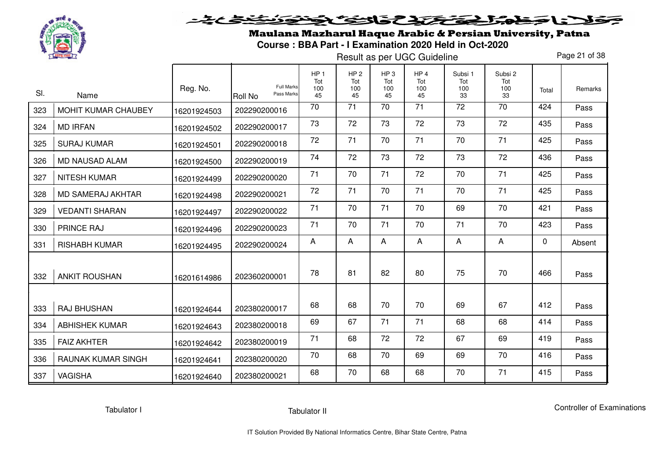

Maulana Mazharul Haque Arabic & Persian University, Patna**Course : BBA Part - I Examination 2020 Held in Oct-2020** 

Result as per UGC Guideline

Page 21 of 38

| SI. | Name                       | Reg. No.    | <b>Full Marks</b><br>Pass Marks<br><b>Roll No</b> | HP <sub>1</sub><br>Tot<br>100<br>45 | HP <sub>2</sub><br>Tot<br>100<br>45 | HP <sub>3</sub><br>Tot<br>100<br>45 | HP <sub>4</sub><br>Tot<br>100<br>45 | Subsi 1<br>Tot<br>100<br>33 | Subsi 2<br>Tot<br>100<br>33 | Total       | Remarks |
|-----|----------------------------|-------------|---------------------------------------------------|-------------------------------------|-------------------------------------|-------------------------------------|-------------------------------------|-----------------------------|-----------------------------|-------------|---------|
| 323 | <b>MOHIT KUMAR CHAUBEY</b> | 16201924503 | 202290200016                                      | 70                                  | $\overline{71}$                     | 70                                  | 71                                  | $\overline{72}$             | 70                          | 424         | Pass    |
| 324 | <b>MD IRFAN</b>            | 16201924502 | 202290200017                                      | 73                                  | 72                                  | 73                                  | 72                                  | 73                          | 72                          | 435         | Pass    |
| 325 | <b>SURAJ KUMAR</b>         | 16201924501 | 202290200018                                      | 72                                  | 71                                  | 70                                  | 71                                  | 70                          | 71                          | 425         | Pass    |
| 326 | <b>MD NAUSAD ALAM</b>      | 16201924500 | 202290200019                                      | 74                                  | 72                                  | 73                                  | 72                                  | 73                          | 72                          | 436         | Pass    |
| 327 | <b>NITESH KUMAR</b>        | 16201924499 | 202290200020                                      | 71                                  | 70                                  | 71                                  | 72                                  | 70                          | 71                          | 425         | Pass    |
| 328 | <b>MD SAMERAJ AKHTAR</b>   | 16201924498 | 202290200021                                      | 72                                  | 71                                  | 70                                  | 71                                  | 70                          | 71                          | 425         | Pass    |
| 329 | <b>VEDANTI SHARAN</b>      | 16201924497 | 202290200022                                      | 71                                  | 70                                  | 71                                  | 70                                  | 69                          | 70                          | 421         | Pass    |
| 330 | <b>PRINCE RAJ</b>          | 16201924496 | 202290200023                                      | 71                                  | 70                                  | 71                                  | 70                                  | 71                          | 70                          | 423         | Pass    |
| 331 | <b>RISHABH KUMAR</b>       | 16201924495 | 202290200024                                      | $\overline{A}$                      | A                                   | A                                   | A                                   | A                           | A                           | $\mathbf 0$ | Absent  |
| 332 | <b>ANKIT ROUSHAN</b>       | 16201614986 | 202360200001                                      | 78                                  | 81                                  | 82                                  | 80                                  | 75                          | 70                          | 466         | Pass    |
| 333 | <b>RAJ BHUSHAN</b>         | 16201924644 | 202380200017                                      | 68                                  | 68                                  | 70                                  | 70                                  | 69                          | 67                          | 412         | Pass    |
| 334 | <b>ABHISHEK KUMAR</b>      | 16201924643 | 202380200018                                      | 69                                  | 67                                  | 71                                  | 71                                  | 68                          | 68                          | 414         | Pass    |
| 335 | <b>FAIZ AKHTER</b>         | 16201924642 | 202380200019                                      | 71                                  | 68                                  | 72                                  | 72                                  | 67                          | 69                          | 419         | Pass    |
| 336 | <b>RAUNAK KUMAR SINGH</b>  | 16201924641 | 202380200020                                      | 70                                  | 68                                  | 70                                  | 69                                  | 69                          | 70                          | 416         | Pass    |
| 337 | <b>VAGISHA</b>             | 16201924640 | 202380200021                                      | 68                                  | 70                                  | 68                                  | 68                                  | 70                          | 71                          | 415         | Pass    |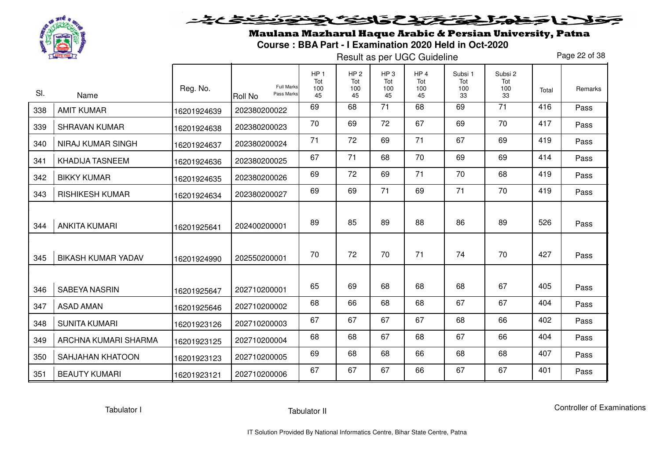

Maulana Mazharul Haque Arabic & Persian University, Patna**Course : BBA Part - I Examination 2020 Held in Oct-2020** 

Result as per UGC Guideline

Page 22 of 38

|     |                           |             |                                            | HP <sub>1</sub><br>Tot | HP <sub>2</sub><br>Tot | HP <sub>3</sub><br>Tot | HP <sub>4</sub><br>Tot | Subsi 1<br>Tot | Subsi 2<br>Tot |       |         |
|-----|---------------------------|-------------|--------------------------------------------|------------------------|------------------------|------------------------|------------------------|----------------|----------------|-------|---------|
| SI. | Name                      | Reg. No.    | <b>Full Marks</b><br>Pass Marks<br>Roll No | 100<br>45              | 100<br>45              | 100<br>45              | 100<br>45              | 100<br>33      | 100<br>33      | Total | Remarks |
| 338 | <b>AMIT KUMAR</b>         | 16201924639 | 202380200022                               | 69                     | 68                     | 71                     | 68                     | 69             | 71             | 416   | Pass    |
| 339 | <b>SHRAVAN KUMAR</b>      | 16201924638 | 202380200023                               | 70                     | 69                     | 72                     | 67                     | 69             | 70             | 417   | Pass    |
| 340 | <b>NIRAJ KUMAR SINGH</b>  | 16201924637 | 202380200024                               | 71                     | 72                     | 69                     | 71                     | 67             | 69             | 419   | Pass    |
| 341 | <b>KHADIJA TASNEEM</b>    | 16201924636 | 202380200025                               | 67                     | 71                     | 68                     | 70                     | 69             | 69             | 414   | Pass    |
| 342 | <b>BIKKY KUMAR</b>        | 16201924635 | 202380200026                               | 69                     | 72                     | 69                     | 71                     | 70             | 68             | 419   | Pass    |
| 343 | <b>RISHIKESH KUMAR</b>    | 16201924634 | 202380200027                               | 69                     | 69                     | 71                     | 69                     | 71             | 70             | 419   | Pass    |
|     |                           |             |                                            |                        | 85                     | 89                     |                        | 86             | 89             | 526   |         |
| 344 | <b>ANKITA KUMARI</b>      | 16201925641 | 202400200001                               | 89                     |                        |                        | 88                     |                |                |       | Pass    |
| 345 | <b>BIKASH KUMAR YADAV</b> | 16201924990 | 202550200001                               | 70                     | 72                     | 70                     | 71                     | 74             | 70             | 427   | Pass    |
|     |                           |             |                                            |                        |                        |                        |                        |                |                |       |         |
| 346 | <b>SABEYA NASRIN</b>      | 16201925647 | 202710200001                               | 65                     | 69                     | 68                     | 68                     | 68             | 67             | 405   | Pass    |
| 347 | ASAD AMAN                 | 16201925646 | 202710200002                               | 68                     | 66                     | 68                     | 68                     | 67             | 67             | 404   | Pass    |
| 348 | <b>SUNITA KUMARI</b>      | 16201923126 | 202710200003                               | 67                     | 67                     | 67                     | 67                     | 68             | 66             | 402   | Pass    |
| 349 | ARCHNA KUMARI SHARMA      | 16201923125 | 202710200004                               | 68                     | 68                     | 67                     | 68                     | 67             | 66             | 404   | Pass    |
| 350 | <b>SAHJAHAN KHATOON</b>   | 16201923123 | 202710200005                               | 69                     | 68                     | 68                     | 66                     | 68             | 68             | 407   | Pass    |
| 351 | <b>BEAUTY KUMARI</b>      | 16201923121 | 202710200006                               | 67                     | 67                     | 67                     | 66                     | 67             | 67             | 401   | Pass    |

Tabulator I

Tabulator II

Controller of Examinations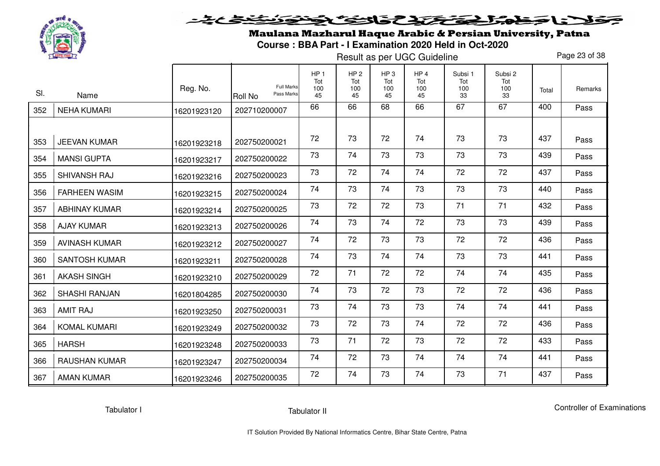

Maulana Mazharul Haque Arabic & Persian University, Patna**Course : BBA Part - I Examination 2020 Held in Oct-2020** 

Result as per UGC Guideline

Page 23 of 38

| SI. | Name                 | Reg. No.    | <b>Full Marks</b><br>Pass Marks<br><b>Roll No</b> | HP <sub>1</sub><br>Tot<br>100<br>45 | HP <sub>2</sub><br>Tot<br>100<br>45 | HP <sub>3</sub><br>Tot<br>100<br>45 | HP <sub>4</sub><br>Tot<br>100<br>45 | Subsi 1<br>Tot<br>100<br>33 | Subsi 2<br>Tot<br>100<br>33 | Total | Remarks |
|-----|----------------------|-------------|---------------------------------------------------|-------------------------------------|-------------------------------------|-------------------------------------|-------------------------------------|-----------------------------|-----------------------------|-------|---------|
| 352 | <b>NEHA KUMARI</b>   | 16201923120 | 202710200007                                      | 66                                  | 66                                  | 68                                  | 66                                  | 67                          | 67                          | 400   | Pass    |
|     |                      |             |                                                   |                                     |                                     |                                     |                                     |                             |                             |       |         |
| 353 | <b>JEEVAN KUMAR</b>  | 16201923218 | 202750200021                                      | 72                                  | 73                                  | 72                                  | 74                                  | 73                          | 73                          | 437   | Pass    |
| 354 | <b>MANSI GUPTA</b>   | 16201923217 | 202750200022                                      | 73                                  | 74                                  | 73                                  | 73                                  | 73                          | 73                          | 439   | Pass    |
| 355 | SHIVANSH RAJ         | 16201923216 | 202750200023                                      | 73                                  | 72                                  | 74                                  | 74                                  | 72                          | 72                          | 437   | Pass    |
| 356 | <b>FARHEEN WASIM</b> | 16201923215 | 202750200024                                      | 74                                  | 73                                  | 74                                  | 73                                  | 73                          | 73                          | 440   | Pass    |
| 357 | <b>ABHINAY KUMAR</b> | 16201923214 | 202750200025                                      | 73                                  | 72                                  | 72                                  | 73                                  | 71                          | 71                          | 432   | Pass    |
| 358 | <b>AJAY KUMAR</b>    | 16201923213 | 202750200026                                      | 74                                  | 73                                  | 74                                  | 72                                  | 73                          | 73                          | 439   | Pass    |
| 359 | <b>AVINASH KUMAR</b> | 16201923212 | 202750200027                                      | 74                                  | 72                                  | 73                                  | 73                                  | 72                          | 72                          | 436   | Pass    |
| 360 | <b>SANTOSH KUMAR</b> | 16201923211 | 202750200028                                      | 74                                  | 73                                  | 74                                  | 74                                  | 73                          | 73                          | 441   | Pass    |
| 361 | <b>AKASH SINGH</b>   | 16201923210 | 202750200029                                      | 72                                  | 71                                  | 72                                  | 72                                  | 74                          | 74                          | 435   | Pass    |
| 362 | <b>SHASHI RANJAN</b> | 16201804285 | 202750200030                                      | 74                                  | 73                                  | 72                                  | 73                                  | 72                          | 72                          | 436   | Pass    |
| 363 | <b>AMIT RAJ</b>      | 16201923250 | 202750200031                                      | 73                                  | 74                                  | 73                                  | 73                                  | 74                          | 74                          | 441   | Pass    |
| 364 | <b>KOMAL KUMARI</b>  | 16201923249 | 202750200032                                      | 73                                  | 72                                  | 73                                  | 74                                  | 72                          | 72                          | 436   | Pass    |
| 365 | <b>HARSH</b>         | 16201923248 | 202750200033                                      | 73                                  | 71                                  | 72                                  | 73                                  | 72                          | 72                          | 433   | Pass    |
| 366 | <b>RAUSHAN KUMAR</b> | 16201923247 | 202750200034                                      | 74                                  | 72                                  | 73                                  | 74                                  | 74                          | 74                          | 441   | Pass    |
| 367 | <b>AMAN KUMAR</b>    | 16201923246 | 202750200035                                      | 72                                  | 74                                  | 73                                  | 74                                  | 73                          | 71                          | 437   | Pass    |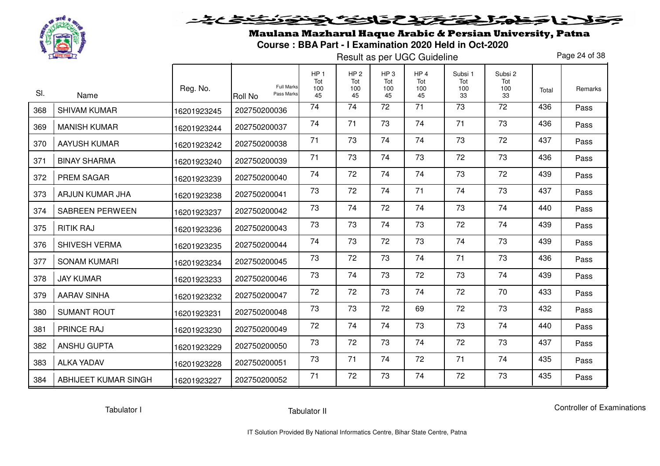

Maulana Mazharul Haque Arabic & Persian University, Patna**Course : BBA Part - I Examination 2020 Held in Oct-2020** 

Result as per UGC Guideline

Page 24 of 38

|     |                        | Reg. No.    | <b>Full Marks</b>            | HP <sub>1</sub><br>Tot<br>100 | HP <sub>2</sub><br>Tot<br>100 | HP <sub>3</sub><br>Tot<br>100 | HP <sub>4</sub><br>Tot<br>100 | Subsi 1<br>Tot<br>100 | Subsi 2<br>Tot<br>100 | Total | <b>Remarks</b> |
|-----|------------------------|-------------|------------------------------|-------------------------------|-------------------------------|-------------------------------|-------------------------------|-----------------------|-----------------------|-------|----------------|
| SI. | Name                   |             | Pass Marks<br><b>Roll No</b> | 45                            | 45                            | 45                            | 45                            | 33                    | 33                    |       |                |
| 368 | <b>SHIVAM KUMAR</b>    | 16201923245 | 202750200036                 | 74                            | 74                            | 72                            | 71                            | 73                    | 72                    | 436   | Pass           |
| 369 | <b>MANISH KUMAR</b>    | 16201923244 | 202750200037                 | 74                            | 71                            | 73                            | 74                            | 71                    | 73                    | 436   | Pass           |
| 370 | <b>AAYUSH KUMAR</b>    | 16201923242 | 202750200038                 | 71                            | 73                            | 74                            | 74                            | 73                    | 72                    | 437   | Pass           |
| 371 | <b>BINAY SHARMA</b>    | 16201923240 | 202750200039                 | 71                            | 73                            | 74                            | 73                            | 72                    | 73                    | 436   | Pass           |
| 372 | <b>PREM SAGAR</b>      | 16201923239 | 202750200040                 | 74                            | 72                            | 74                            | 74                            | 73                    | 72                    | 439   | Pass           |
| 373 | ARJUN KUMAR JHA        | 16201923238 | 202750200041                 | 73                            | 72                            | 74                            | 71                            | 74                    | 73                    | 437   | Pass           |
| 374 | <b>SABREEN PERWEEN</b> | 16201923237 | 202750200042                 | 73                            | 74                            | 72                            | 74                            | 73                    | 74                    | 440   | Pass           |
| 375 | <b>RITIK RAJ</b>       | 16201923236 | 202750200043                 | 73                            | 73                            | 74                            | 73                            | 72                    | 74                    | 439   | Pass           |
| 376 | SHIVESH VERMA          | 16201923235 | 202750200044                 | 74                            | 73                            | 72                            | 73                            | 74                    | 73                    | 439   | Pass           |
| 377 | <b>SONAM KUMARI</b>    | 16201923234 | 202750200045                 | 73                            | 72                            | 73                            | 74                            | 71                    | 73                    | 436   | Pass           |
| 378 | <b>JAY KUMAR</b>       | 16201923233 | 202750200046                 | 73                            | 74                            | 73                            | 72                            | 73                    | 74                    | 439   | Pass           |
| 379 | <b>AARAV SINHA</b>     | 16201923232 | 202750200047                 | 72                            | 72                            | 73                            | 74                            | 72                    | 70                    | 433   | Pass           |
| 380 | <b>SUMANT ROUT</b>     | 16201923231 | 202750200048                 | 73                            | 73                            | 72                            | 69                            | 72                    | 73                    | 432   | Pass           |
| 381 | <b>PRINCE RAJ</b>      | 16201923230 | 202750200049                 | 72                            | 74                            | 74                            | 73                            | 73                    | 74                    | 440   | Pass           |
| 382 | <b>ANSHU GUPTA</b>     | 16201923229 | 202750200050                 | 73                            | 72                            | 73                            | 74                            | 72                    | 73                    | 437   | Pass           |
| 383 | <b>ALKA YADAV</b>      | 16201923228 | 202750200051                 | 73                            | 71                            | 74                            | 72                            | 71                    | 74                    | 435   | Pass           |
| 384 | ABHIJEET KUMAR SINGH   | 16201923227 | 202750200052                 | 71                            | 72                            | 73                            | 74                            | 72                    | 73                    | 435   | Pass           |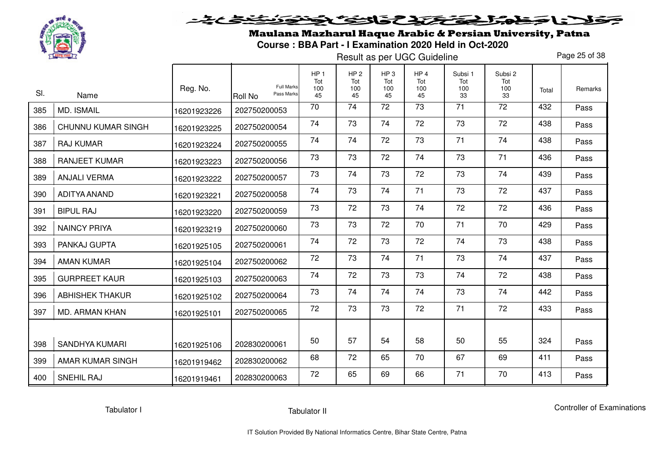

# <u>يحامي جو به</u> فلانا حفاه الحقكم والمحتار والتفارق

Maulana Mazharul Haque Arabic & Persian University, Patna**Course : BBA Part - I Examination 2020 Held in Oct-2020** 

Result as per UGC Guideline

Page 25 of 38

|     |                           |             | <b>Full Marks</b>            | HP <sub>1</sub><br>Tot | HP <sub>2</sub><br>Tot | HP <sub>3</sub><br>Tot | HP <sub>4</sub><br>Tot | Subsi 1<br>Tot | Subsi 2<br>Tot |       |         |
|-----|---------------------------|-------------|------------------------------|------------------------|------------------------|------------------------|------------------------|----------------|----------------|-------|---------|
| SI. | Name                      | Reg. No.    | Pass Marks<br><b>Roll No</b> | 100<br>45              | 100<br>45              | 100<br>45              | 100<br>45              | 100<br>33      | 100<br>33      | Total | Remarks |
| 385 | <b>MD. ISMAIL</b>         | 16201923226 | 202750200053                 | 70                     | 74                     | 72                     | 73                     | 71             | 72             | 432   | Pass    |
| 386 | <b>CHUNNU KUMAR SINGH</b> | 16201923225 | 202750200054                 | 74                     | 73                     | 74                     | 72                     | 73             | 72             | 438   | Pass    |
| 387 | <b>RAJ KUMAR</b>          | 16201923224 | 202750200055                 | 74                     | 74                     | 72                     | 73                     | 71             | 74             | 438   | Pass    |
| 388 | <b>RANJEET KUMAR</b>      | 16201923223 | 202750200056                 | 73                     | 73                     | 72                     | 74                     | 73             | 71             | 436   | Pass    |
| 389 | <b>ANJALI VERMA</b>       | 16201923222 | 202750200057                 | 73                     | 74                     | 73                     | 72                     | 73             | 74             | 439   | Pass    |
| 390 | ADITYA ANAND              | 16201923221 | 202750200058                 | 74                     | 73                     | 74                     | 71                     | 73             | 72             | 437   | Pass    |
| 391 | <b>BIPUL RAJ</b>          | 16201923220 | 202750200059                 | 73                     | 72                     | 73                     | 74                     | 72             | 72             | 436   | Pass    |
| 392 | <b>NAINCY PRIYA</b>       | 16201923219 | 202750200060                 | 73                     | 73                     | 72                     | 70                     | 71             | 70             | 429   | Pass    |
| 393 | PANKAJ GUPTA              | 16201925105 | 202750200061                 | 74                     | 72                     | 73                     | 72                     | 74             | 73             | 438   | Pass    |
| 394 | <b>AMAN KUMAR</b>         | 16201925104 | 202750200062                 | 72                     | 73                     | 74                     | 71                     | 73             | 74             | 437   | Pass    |
| 395 | <b>GURPREET KAUR</b>      | 16201925103 | 202750200063                 | 74                     | 72                     | 73                     | 73                     | 74             | 72             | 438   | Pass    |
| 396 | <b>ABHISHEK THAKUR</b>    | 16201925102 | 202750200064                 | 73                     | 74                     | 74                     | 74                     | 73             | 74             | 442   | Pass    |
| 397 | MD. ARMAN KHAN            | 16201925101 | 202750200065                 | 72                     | 73                     | 73                     | 72                     | 71             | 72             | 433   | Pass    |
|     |                           |             |                              |                        |                        |                        |                        |                |                |       |         |
| 398 | <b>SANDHYA KUMARI</b>     | 16201925106 | 202830200061                 | 50                     | 57                     | 54                     | 58                     | 50             | 55             | 324   | Pass    |
| 399 | AMAR KUMAR SINGH          | 16201919462 | 202830200062                 | 68                     | 72                     | 65                     | 70                     | 67             | 69             | 411   | Pass    |
| 400 | <b>SNEHIL RAJ</b>         | 16201919461 | 202830200063                 | 72                     | 65                     | 69                     | 66                     | 71             | 70             | 413   | Pass    |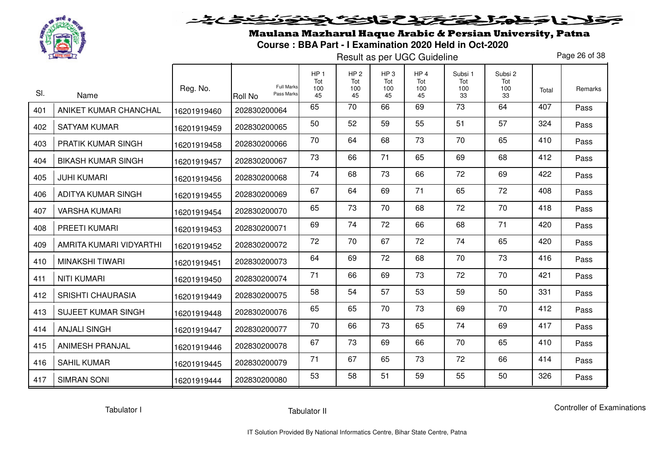

Maulana Mazharul Haque Arabic & Persian University, Patna**Course : BBA Part - I Examination 2020 Held in Oct-2020** 

Result as per UGC Guideline

Page 26 of 38

| SI. | Name                      | Reg. No.    | <b>Full Marks</b><br>Pass Marks<br>Roll No | HP <sub>1</sub><br>Tot<br>100<br>45 | HP <sub>2</sub><br>Tot<br>100<br>45 | HP <sub>3</sub><br>Tot<br>100<br>45 | HP <sub>4</sub><br>Tot<br>100<br>45 | Subsi 1<br>Tot<br>100<br>33 | Subsi 2<br>Tot<br>100<br>33 | Total | Remarks |
|-----|---------------------------|-------------|--------------------------------------------|-------------------------------------|-------------------------------------|-------------------------------------|-------------------------------------|-----------------------------|-----------------------------|-------|---------|
| 401 | ANIKET KUMAR CHANCHAL     | 16201919460 | 202830200064                               | 65                                  | 70                                  | 66                                  | 69                                  | 73                          | 64                          | 407   | Pass    |
| 402 | <b>SATYAM KUMAR</b>       | 16201919459 | 202830200065                               | 50                                  | 52                                  | 59                                  | 55                                  | 51                          | 57                          | 324   | Pass    |
| 403 | <b>PRATIK KUMAR SINGH</b> | 16201919458 | 202830200066                               | 70                                  | 64                                  | 68                                  | 73                                  | 70                          | 65                          | 410   | Pass    |
| 404 | <b>BIKASH KUMAR SINGH</b> | 16201919457 | 202830200067                               | 73                                  | 66                                  | 71                                  | 65                                  | 69                          | 68                          | 412   | Pass    |
| 405 | <b>JUHI KUMARI</b>        | 16201919456 | 202830200068                               | 74                                  | 68                                  | 73                                  | 66                                  | 72                          | 69                          | 422   | Pass    |
| 406 | ADITYA KUMAR SINGH        | 16201919455 | 202830200069                               | 67                                  | 64                                  | 69                                  | 71                                  | 65                          | 72                          | 408   | Pass    |
| 407 | <b>VARSHA KUMARI</b>      | 16201919454 | 202830200070                               | 65                                  | 73                                  | 70                                  | 68                                  | 72                          | 70                          | 418   | Pass    |
| 408 | PREETI KUMARI             | 16201919453 | 202830200071                               | 69                                  | 74                                  | 72                                  | 66                                  | 68                          | 71                          | 420   | Pass    |
| 409 | AMRITA KUMARI VIDYARTHI   | 16201919452 | 202830200072                               | 72                                  | 70                                  | 67                                  | 72                                  | 74                          | 65                          | 420   | Pass    |
| 410 | MINAKSHI TIWARI           | 16201919451 | 202830200073                               | 64                                  | 69                                  | 72                                  | 68                                  | 70                          | 73                          | 416   | Pass    |
| 411 | <b>NITI KUMARI</b>        | 16201919450 | 202830200074                               | 71                                  | 66                                  | 69                                  | 73                                  | 72                          | 70                          | 421   | Pass    |
| 412 | <b>SRISHTI CHAURASIA</b>  | 16201919449 | 202830200075                               | 58                                  | 54                                  | 57                                  | 53                                  | 59                          | 50                          | 331   | Pass    |
| 413 | <b>SUJEET KUMAR SINGH</b> | 16201919448 | 202830200076                               | 65                                  | 65                                  | 70                                  | 73                                  | 69                          | 70                          | 412   | Pass    |
| 414 | <b>ANJALI SINGH</b>       | 16201919447 | 202830200077                               | 70                                  | 66                                  | 73                                  | 65                                  | 74                          | 69                          | 417   | Pass    |
| 415 | <b>ANIMESH PRANJAL</b>    | 16201919446 | 202830200078                               | 67                                  | 73                                  | 69                                  | 66                                  | 70                          | 65                          | 410   | Pass    |
| 416 | <b>SAHIL KUMAR</b>        | 16201919445 | 202830200079                               | 71                                  | 67                                  | 65                                  | 73                                  | 72                          | 66                          | 414   | Pass    |
| 417 | <b>SIMRAN SONI</b>        | 16201919444 | 202830200080                               | 53                                  | 58                                  | 51                                  | 59                                  | 55                          | 50                          | 326   | Pass    |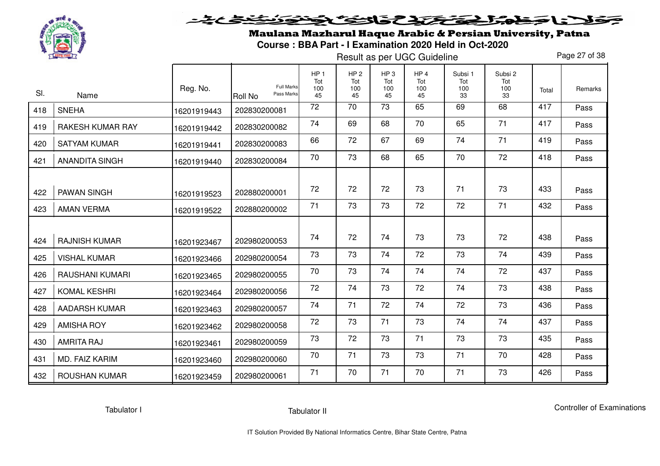

Maulana Mazharul Haque Arabic & Persian University, Patna**Course : BBA Part - I Examination 2020 Held in Oct-2020** 

Result as per UGC Guideline

Page 27 of 38

| SI. | Name                    | Reg. No.    | <b>Full Marks</b><br>Pass Marks<br>Roll No | HP <sub>1</sub><br>Tot<br>100<br>45 | HP <sub>2</sub><br>Tot<br>100<br>45 | HP <sub>3</sub><br>Tot<br>100<br>45 | HP <sub>4</sub><br>Tot<br>100<br>45 | Subsi 1<br>Tot<br>100<br>33 | Subsi 2<br>Tot<br>100<br>33 | Total | Remarks |
|-----|-------------------------|-------------|--------------------------------------------|-------------------------------------|-------------------------------------|-------------------------------------|-------------------------------------|-----------------------------|-----------------------------|-------|---------|
| 418 | <b>SNEHA</b>            | 16201919443 | 202830200081                               | 72                                  | 70                                  | 73                                  | 65                                  | 69                          | 68                          | 417   | Pass    |
| 419 | <b>RAKESH KUMAR RAY</b> | 16201919442 | 202830200082                               | 74                                  | 69                                  | 68                                  | 70                                  | 65                          | 71                          | 417   | Pass    |
| 420 | <b>SATYAM KUMAR</b>     | 16201919441 | 202830200083                               | 66                                  | 72                                  | 67                                  | 69                                  | 74                          | 71                          | 419   | Pass    |
| 421 | <b>ANANDITA SINGH</b>   | 16201919440 | 202830200084                               | 70                                  | 73                                  | 68                                  | 65                                  | 70                          | 72                          | 418   | Pass    |
| 422 | <b>PAWAN SINGH</b>      | 16201919523 | 202880200001                               | 72                                  | 72                                  | 72                                  | 73                                  | 71                          | 73                          | 433   | Pass    |
| 423 | <b>AMAN VERMA</b>       | 16201919522 | 202880200002                               | 71                                  | 73                                  | 73                                  | 72                                  | 72                          | 71                          | 432   | Pass    |
| 424 | <b>RAJNISH KUMAR</b>    | 16201923467 | 202980200053                               | 74                                  | 72                                  | 74                                  | 73                                  | 73                          | 72                          | 438   | Pass    |
| 425 | <b>VISHAL KUMAR</b>     | 16201923466 | 202980200054                               | 73                                  | 73                                  | 74                                  | 72                                  | 73                          | 74                          | 439   | Pass    |
| 426 | <b>RAUSHANI KUMARI</b>  | 16201923465 | 202980200055                               | 70                                  | 73                                  | 74                                  | 74                                  | 74                          | 72                          | 437   | Pass    |
| 427 | <b>KOMAL KESHRI</b>     | 16201923464 | 202980200056                               | 72                                  | 74                                  | 73                                  | 72                                  | 74                          | 73                          | 438   | Pass    |
| 428 | <b>AADARSH KUMAR</b>    | 16201923463 | 202980200057                               | 74                                  | 71                                  | 72                                  | 74                                  | 72                          | 73                          | 436   | Pass    |
| 429 | <b>AMISHA ROY</b>       | 16201923462 | 202980200058                               | 72                                  | 73                                  | 71                                  | 73                                  | 74                          | 74                          | 437   | Pass    |
| 430 | <b>AMRITA RAJ</b>       | 16201923461 | 202980200059                               | 73                                  | 72                                  | 73                                  | 71                                  | 73                          | 73                          | 435   | Pass    |
| 431 | MD. FAIZ KARIM          | 16201923460 | 202980200060                               | 70                                  | 71                                  | 73                                  | 73                                  | 71                          | 70                          | 428   | Pass    |
| 432 | <b>ROUSHAN KUMAR</b>    | 16201923459 | 202980200061                               | 71                                  | 70                                  | 71                                  | 70                                  | 71                          | 73                          | 426   | Pass    |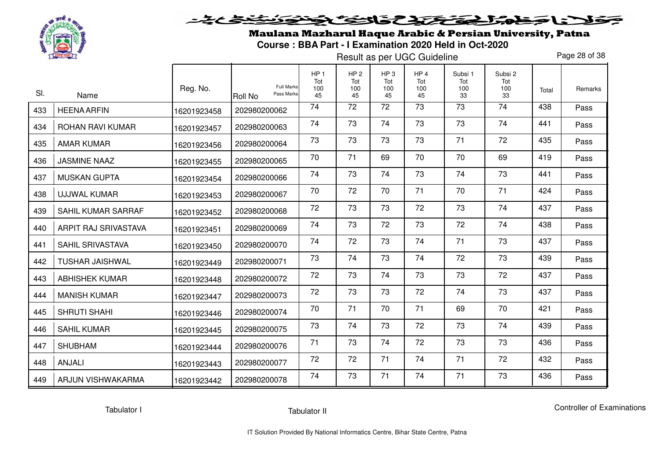

Maulana Mazharul Haque Arabic & Persian University, Patna**Course : BBA Part - I Examination 2020 Held in Oct-2020** 

Result as per UGC Guideline

Page 28 of 38

| SI. | Name                      | Reg. No.    | <b>Full Marks</b><br>Pass Marks<br>Roll No | HP <sub>1</sub><br>Tot<br>100<br>45 | HP <sub>2</sub><br>Tot<br>100<br>45 | HP <sub>3</sub><br>Tot<br>100<br>45 | HP <sub>4</sub><br>Tot<br>100<br>45 | Subsi 1<br>Tot<br>100<br>33 | Subsi 2<br>Tot<br>100<br>33 | Total | Remarks |
|-----|---------------------------|-------------|--------------------------------------------|-------------------------------------|-------------------------------------|-------------------------------------|-------------------------------------|-----------------------------|-----------------------------|-------|---------|
| 433 | <b>HEENA ARFIN</b>        | 16201923458 | 202980200062                               | 74                                  | 72                                  | 72                                  | 73                                  | $\overline{73}$             | $\overline{74}$             | 438   | Pass    |
| 434 | ROHAN RAVI KUMAR          | 16201923457 | 202980200063                               | 74                                  | 73                                  | 74                                  | 73                                  | 73                          | 74                          | 441   | Pass    |
| 435 | <b>AMAR KUMAR</b>         | 16201923456 | 202980200064                               | 73                                  | 73                                  | 73                                  | 73                                  | 71                          | 72                          | 435   | Pass    |
| 436 | <b>JASMINE NAAZ</b>       | 16201923455 | 202980200065                               | 70                                  | 71                                  | 69                                  | 70                                  | 70                          | 69                          | 419   | Pass    |
| 437 | <b>MUSKAN GUPTA</b>       | 16201923454 | 202980200066                               | 74                                  | 73                                  | 74                                  | 73                                  | 74                          | 73                          | 441   | Pass    |
| 438 | <b>UJJWAL KUMAR</b>       | 16201923453 | 202980200067                               | 70                                  | 72                                  | 70                                  | 71                                  | 70                          | 71                          | 424   | Pass    |
| 439 | <b>SAHIL KUMAR SARRAF</b> | 16201923452 | 202980200068                               | 72                                  | 73                                  | 73                                  | 72                                  | 73                          | 74                          | 437   | Pass    |
| 440 | ARPIT RAJ SRIVASTAVA      | 16201923451 | 202980200069                               | 74                                  | 73                                  | 72                                  | 73                                  | 72                          | 74                          | 438   | Pass    |
| 441 | <b>SAHIL SRIVASTAVA</b>   | 16201923450 | 202980200070                               | 74                                  | 72                                  | 73                                  | 74                                  | 71                          | 73                          | 437   | Pass    |
| 442 | <b>TUSHAR JAISHWAL</b>    | 16201923449 | 202980200071                               | 73                                  | 74                                  | 73                                  | 74                                  | 72                          | 73                          | 439   | Pass    |
| 443 | <b>ABHISHEK KUMAR</b>     | 16201923448 | 202980200072                               | 72                                  | 73                                  | 74                                  | 73                                  | 73                          | 72                          | 437   | Pass    |
| 444 | <b>MANISH KUMAR</b>       | 16201923447 | 202980200073                               | 72                                  | 73                                  | 73                                  | 72                                  | 74                          | 73                          | 437   | Pass    |
| 445 | <b>SHRUTI SHAHI</b>       | 16201923446 | 202980200074                               | 70                                  | 71                                  | 70                                  | 71                                  | 69                          | 70                          | 421   | Pass    |
| 446 | <b>SAHIL KUMAR</b>        | 16201923445 | 202980200075                               | 73                                  | 74                                  | 73                                  | 72                                  | 73                          | 74                          | 439   | Pass    |
| 447 | <b>SHUBHAM</b>            | 16201923444 | 202980200076                               | 71                                  | 73                                  | 74                                  | 72                                  | 73                          | 73                          | 436   | Pass    |
| 448 | ANJALI                    | 16201923443 | 202980200077                               | 72                                  | 72                                  | 71                                  | 74                                  | 71                          | 72                          | 432   | Pass    |
| 449 | ARJUN VISHWAKARMA         | 16201923442 | 202980200078                               | 74                                  | 73                                  | 71                                  | 74                                  | 71                          | 73                          | 436   | Pass    |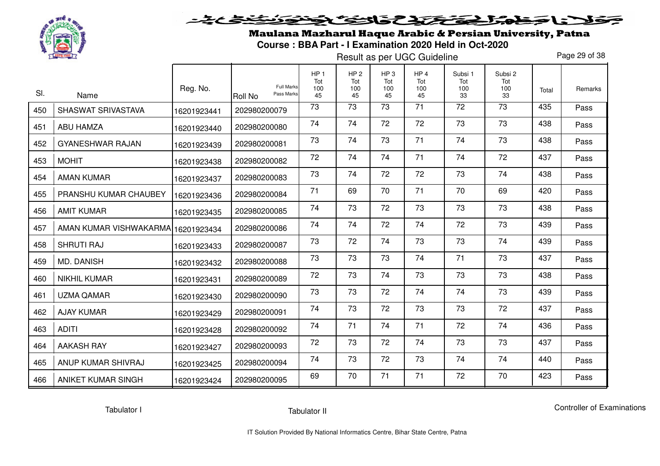

Maulana Mazharul Haque Arabic & Persian University, Patna**Course : BBA Part - I Examination 2020 Held in Oct-2020** 

Result as per UGC Guideline

Page 29 of 38

| SI. | Name                               | Reg. No.    | <b>Full Marks</b><br>Pass Marks<br><b>Roll No</b> | HP <sub>1</sub><br>Tot<br>100<br>45 | HP <sub>2</sub><br>Tot<br>100<br>45 | HP <sub>3</sub><br>Tot<br>100<br>45 | HP <sub>4</sub><br>Tot<br>100<br>45 | Subsi 1<br>Tot<br>100<br>33 | Subsi 2<br>Tot<br>100<br>33 | Total | Remarks |
|-----|------------------------------------|-------------|---------------------------------------------------|-------------------------------------|-------------------------------------|-------------------------------------|-------------------------------------|-----------------------------|-----------------------------|-------|---------|
| 450 | SHASWAT SRIVASTAVA                 | 16201923441 | 202980200079                                      | 73                                  | 73                                  | 73                                  | 71                                  | 72                          | 73                          | 435   | Pass    |
| 451 | <b>ABU HAMZA</b>                   | 16201923440 | 202980200080                                      | 74                                  | 74                                  | 72                                  | 72                                  | 73                          | 73                          | 438   | Pass    |
| 452 | <b>GYANESHWAR RAJAN</b>            | 16201923439 | 202980200081                                      | 73                                  | 74                                  | 73                                  | 71                                  | 74                          | 73                          | 438   | Pass    |
| 453 | <b>MOHIT</b>                       | 16201923438 | 202980200082                                      | 72                                  | 74                                  | 74                                  | 71                                  | 74                          | 72                          | 437   | Pass    |
| 454 | <b>AMAN KUMAR</b>                  | 16201923437 | 202980200083                                      | 73                                  | 74                                  | 72                                  | 72                                  | 73                          | 74                          | 438   | Pass    |
| 455 | PRANSHU KUMAR CHAUBEY              | 16201923436 | 202980200084                                      | 71                                  | 69                                  | 70                                  | 71                                  | 70                          | 69                          | 420   | Pass    |
| 456 | <b>AMIT KUMAR</b>                  | 16201923435 | 202980200085                                      | 74                                  | 73                                  | 72                                  | 73                                  | 73                          | 73                          | 438   | Pass    |
| 457 | AMAN KUMAR VISHWAKARMA 16201923434 |             | 202980200086                                      | 74                                  | 74                                  | 72                                  | 74                                  | 72                          | 73                          | 439   | Pass    |
| 458 | <b>SHRUTI RAJ</b>                  | 16201923433 | 202980200087                                      | 73                                  | 72                                  | 74                                  | 73                                  | 73                          | 74                          | 439   | Pass    |
| 459 | <b>MD. DANISH</b>                  | 16201923432 | 202980200088                                      | 73                                  | 73                                  | 73                                  | 74                                  | 71                          | 73                          | 437   | Pass    |
| 460 | <b>NIKHIL KUMAR</b>                | 16201923431 | 202980200089                                      | 72                                  | 73                                  | 74                                  | 73                                  | 73                          | 73                          | 438   | Pass    |
| 461 | UZMA QAMAR                         | 16201923430 | 202980200090                                      | 73                                  | 73                                  | 72                                  | 74                                  | 74                          | 73                          | 439   | Pass    |
| 462 | <b>AJAY KUMAR</b>                  | 16201923429 | 202980200091                                      | 74                                  | 73                                  | 72                                  | 73                                  | 73                          | 72                          | 437   | Pass    |
| 463 | <b>ADITI</b>                       | 16201923428 | 202980200092                                      | 74                                  | 71                                  | 74                                  | 71                                  | 72                          | 74                          | 436   | Pass    |
| 464 | <b>AAKASH RAY</b>                  | 16201923427 | 202980200093                                      | 72                                  | 73                                  | 72                                  | 74                                  | 73                          | 73                          | 437   | Pass    |
| 465 | ANUP KUMAR SHIVRAJ                 | 16201923425 | 202980200094                                      | 74                                  | 73                                  | 72                                  | 73                                  | 74                          | 74                          | 440   | Pass    |
| 466 | ANIKET KUMAR SINGH                 | 16201923424 | 202980200095                                      | 69                                  | 70                                  | 71                                  | 71                                  | 72                          | 70                          | 423   | Pass    |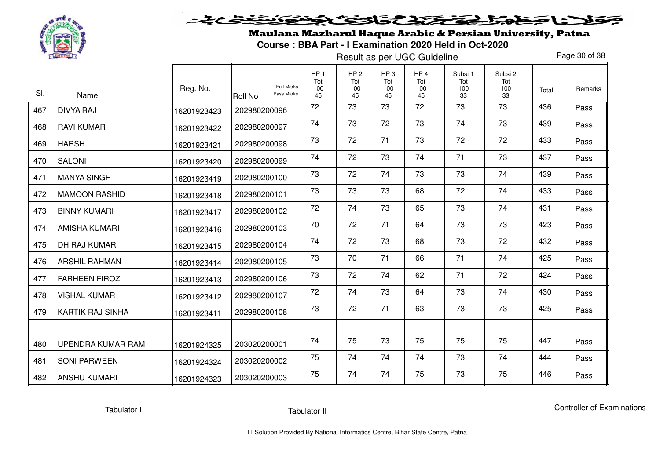

# <u>خخ خ</u> فلانا حفاه الحفظ والث فخفوذ

Maulana Mazharul Haque Arabic & Persian University, Patna**Course : BBA Part - I Examination 2020 Held in Oct-2020** 

Result as per UGC Guideline

Page 30 of 38

| SI. |                         | Reg. No.    | <b>Full Marks</b>            | HP <sub>1</sub><br>Tot<br>100 | HP <sub>2</sub><br>Tot<br>100 | HP <sub>3</sub><br>Tot<br>100 | HP <sub>4</sub><br>Tot<br>100 | Subsi 1<br>Tot<br>100 | Subsi 2<br>Tot<br>100 | Total | Remarks |
|-----|-------------------------|-------------|------------------------------|-------------------------------|-------------------------------|-------------------------------|-------------------------------|-----------------------|-----------------------|-------|---------|
|     | Name                    |             | Pass Marks<br><b>Roll No</b> | 45<br>72                      | 45<br>73                      | 45<br>73                      | 45<br>72                      | 33<br>$\overline{73}$ | 33<br>$\overline{73}$ | 436   | Pass    |
| 467 | <b>DIVYA RAJ</b>        | 16201923423 | 202980200096                 |                               |                               |                               |                               |                       |                       |       |         |
| 468 | <b>RAVI KUMAR</b>       | 16201923422 | 202980200097                 | 74                            | 73                            | 72                            | 73                            | 74                    | 73                    | 439   | Pass    |
| 469 | <b>HARSH</b>            | 16201923421 | 202980200098                 | 73                            | 72                            | 71                            | 73                            | 72                    | 72                    | 433   | Pass    |
| 470 | <b>SALONI</b>           | 16201923420 | 202980200099                 | 74                            | 72                            | 73                            | 74                            | 71                    | 73                    | 437   | Pass    |
| 471 | <b>MANYA SINGH</b>      | 16201923419 | 202980200100                 | 73                            | 72                            | 74                            | 73                            | 73                    | 74                    | 439   | Pass    |
| 472 | <b>MAMOON RASHID</b>    | 16201923418 | 202980200101                 | 73                            | 73                            | 73                            | 68                            | 72                    | 74                    | 433   | Pass    |
| 473 | <b>BINNY KUMARI</b>     | 16201923417 | 202980200102                 | 72                            | 74                            | 73                            | 65                            | 73                    | 74                    | 431   | Pass    |
| 474 | <b>AMISHA KUMARI</b>    | 16201923416 | 202980200103                 | 70                            | 72                            | 71                            | 64                            | 73                    | 73                    | 423   | Pass    |
| 475 | <b>DHIRAJ KUMAR</b>     | 16201923415 | 202980200104                 | 74                            | 72                            | 73                            | 68                            | 73                    | 72                    | 432   | Pass    |
| 476 | <b>ARSHIL RAHMAN</b>    | 16201923414 | 202980200105                 | 73                            | 70                            | 71                            | 66                            | 71                    | 74                    | 425   | Pass    |
| 477 | <b>FARHEEN FIROZ</b>    | 16201923413 | 202980200106                 | 73                            | 72                            | 74                            | 62                            | 71                    | 72                    | 424   | Pass    |
| 478 | <b>VISHAL KUMAR</b>     | 16201923412 | 202980200107                 | 72                            | 74                            | 73                            | 64                            | 73                    | 74                    | 430   | Pass    |
| 479 | <b>KARTIK RAJ SINHA</b> | 16201923411 | 202980200108                 | 73                            | 72                            | 71                            | 63                            | 73                    | 73                    | 425   | Pass    |
|     |                         |             |                              |                               |                               |                               |                               |                       |                       |       |         |
| 480 | UPENDRA KUMAR RAM       | 16201924325 | 203020200001                 | 74                            | 75                            | 73                            | 75                            | 75                    | 75                    | 447   | Pass    |
| 481 | <b>SONI PARWEEN</b>     | 16201924324 | 203020200002                 | 75                            | 74                            | 74                            | 74                            | 73                    | 74                    | 444   | Pass    |
| 482 | <b>ANSHU KUMARI</b>     | 16201924323 | 203020200003                 | 75                            | 74                            | 74                            | 75                            | 73                    | 75                    | 446   | Pass    |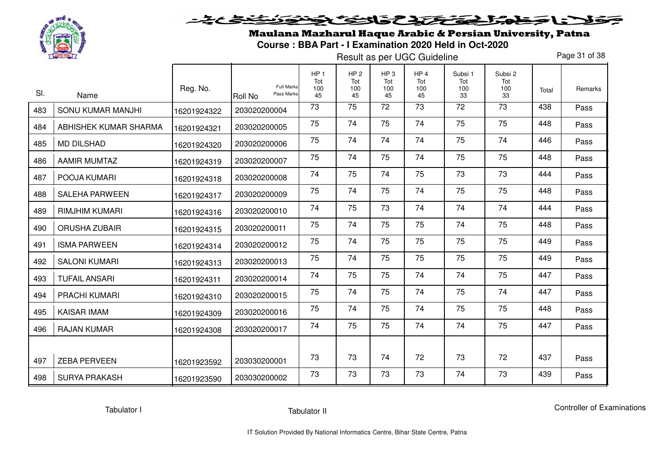

Maulana Mazharul Haque Arabic & Persian University, Patna**Course : BBA Part - I Examination 2020 Held in Oct-2020** 

Result as per UGC Guideline

Page 31 of 38

| SI. |                           | Reg. No.    | <b>Full Marks</b><br>Pass Marks | HP <sub>1</sub><br>Tot<br>100 | HP <sub>2</sub><br>Tot<br>100 | HP <sub>3</sub><br>Tot<br>100 | HP <sub>4</sub><br>Tot<br>100 | Subsi 1<br>Tot<br>100 | Subsi 2<br>Tot<br>100 | Total | Remarks |
|-----|---------------------------|-------------|---------------------------------|-------------------------------|-------------------------------|-------------------------------|-------------------------------|-----------------------|-----------------------|-------|---------|
| 483 | Name<br>SONU KUMAR MANJHI | 16201924322 | <b>Roll No</b><br>203020200004  | 45<br>73                      | 45<br>75                      | 45<br>72                      | 45<br>73                      | 33<br>72              | 33<br>73              | 438   | Pass    |
| 484 | ABHISHEK KUMAR SHARMA     | 16201924321 | 203020200005                    | 75                            | 74                            | 75                            | 74                            | 75                    | 75                    | 448   | Pass    |
| 485 | <b>MD DILSHAD</b>         | 16201924320 | 203020200006                    | 75                            | 74                            | 74                            | 74                            | 75                    | 74                    | 446   | Pass    |
| 486 | <b>AAMIR MUMTAZ</b>       | 16201924319 | 203020200007                    | 75                            | 74                            | 75                            | 74                            | 75                    | 75                    | 448   | Pass    |
| 487 | POOJA KUMARI              | 16201924318 | 203020200008                    | 74                            | 75                            | 74                            | 75                            | 73                    | 73                    | 444   | Pass    |
| 488 | <b>SALEHA PARWEEN</b>     | 16201924317 | 203020200009                    | 75                            | 74                            | 75                            | 74                            | 75                    | 75                    | 448   | Pass    |
| 489 | <b>RIMJHIM KUMARI</b>     | 16201924316 | 203020200010                    | 74                            | 75                            | 73                            | 74                            | 74                    | 74                    | 444   | Pass    |
| 490 | <b>ORUSHA ZUBAIR</b>      | 16201924315 | 203020200011                    | 75                            | 74                            | 75                            | 75                            | 74                    | 75                    | 448   | Pass    |
| 491 | <b>ISMA PARWEEN</b>       | 16201924314 | 203020200012                    | 75                            | 74                            | 75                            | 75                            | 75                    | 75                    | 449   | Pass    |
| 492 | <b>SALONI KUMARI</b>      | 16201924313 | 203020200013                    | 75                            | 74                            | 75                            | 75                            | 75                    | 75                    | 449   | Pass    |
| 493 | <b>TUFAIL ANSARI</b>      | 16201924311 | 203020200014                    | 74                            | 75                            | 75                            | 74                            | 74                    | 75                    | 447   | Pass    |
| 494 | PRACHI KUMARI             | 16201924310 | 203020200015                    | 75                            | 74                            | 75                            | 74                            | 75                    | 74                    | 447   | Pass    |
| 495 | <b>KAISAR IMAM</b>        | 16201924309 | 203020200016                    | 75                            | 74                            | 75                            | 74                            | 75                    | 75                    | 448   | Pass    |
| 496 | <b>RAJAN KUMAR</b>        | 16201924308 | 203020200017                    | 74                            | 75                            | 75                            | 74                            | 74                    | 75                    | 447   | Pass    |
| 497 | <b>ZEBA PERVEEN</b>       | 16201923592 | 203030200001                    | 73                            | 73                            | 74                            | 72                            | 73                    | 72                    | 437   | Pass    |
| 498 | <b>SURYA PRAKASH</b>      | 16201923590 | 203030200002                    | 73                            | 73                            | 73                            | 73                            | 74                    | 73                    | 439   | Pass    |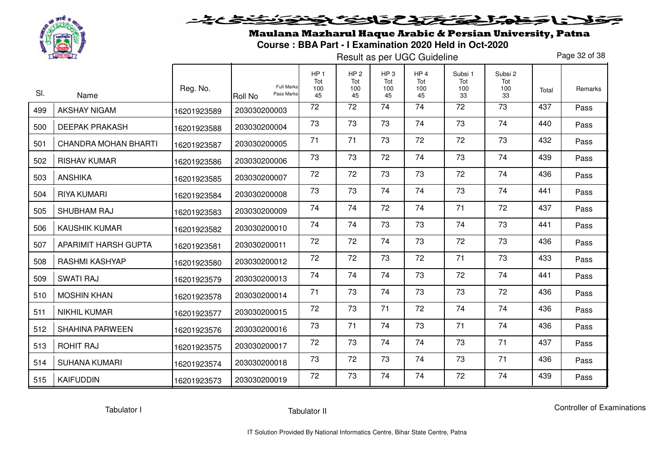

Maulana Mazharul Haque Arabic & Persian University, Patna**Course : BBA Part - I Examination 2020 Held in Oct-2020** 

Result as per UGC Guideline

Page 32 of 38

| SI. | Name                   | Reg. No.    | <b>Full Marks</b><br>Pass Marks<br><b>Roll No</b> | HP <sub>1</sub><br>Tot<br>100<br>45 | HP <sub>2</sub><br>Tot<br>100<br>45 | HP <sub>3</sub><br>Tot<br>100<br>45 | HP <sub>4</sub><br>Tot<br>100<br>45 | Subsi 1<br>Tot<br>100<br>33 | Subsi 2<br>Tot<br>100<br>33 | Total | Remarks |
|-----|------------------------|-------------|---------------------------------------------------|-------------------------------------|-------------------------------------|-------------------------------------|-------------------------------------|-----------------------------|-----------------------------|-------|---------|
| 499 | <b>AKSHAY NIGAM</b>    | 16201923589 | 203030200003                                      | 72                                  | 72                                  | 74                                  | 74                                  | 72                          | 73                          | 437   | Pass    |
| 500 | <b>DEEPAK PRAKASH</b>  | 16201923588 | 203030200004                                      | 73                                  | 73                                  | 73                                  | 74                                  | 73                          | 74                          | 440   | Pass    |
| 501 | CHANDRA MOHAN BHARTI   | 16201923587 | 203030200005                                      | 71                                  | 71                                  | 73                                  | 72                                  | 72                          | 73                          | 432   | Pass    |
| 502 | <b>RISHAV KUMAR</b>    | 16201923586 | 203030200006                                      | 73                                  | 73                                  | 72                                  | 74                                  | 73                          | 74                          | 439   | Pass    |
| 503 | <b>ANSHIKA</b>         | 16201923585 | 203030200007                                      | 72                                  | 72                                  | 73                                  | 73                                  | 72                          | 74                          | 436   | Pass    |
| 504 | <b>RIYA KUMARI</b>     | 16201923584 | 203030200008                                      | 73                                  | 73                                  | 74                                  | 74                                  | 73                          | 74                          | 441   | Pass    |
| 505 | SHUBHAM RAJ            | 16201923583 | 203030200009                                      | 74                                  | 74                                  | 72                                  | 74                                  | 71                          | 72                          | 437   | Pass    |
| 506 | <b>KAUSHIK KUMAR</b>   | 16201923582 | 203030200010                                      | 74                                  | 74                                  | 73                                  | 73                                  | 74                          | 73                          | 441   | Pass    |
| 507 | APARIMIT HARSH GUPTA   | 16201923581 | 203030200011                                      | 72                                  | 72                                  | 74                                  | 73                                  | 72                          | 73                          | 436   | Pass    |
| 508 | <b>RASHMI KASHYAP</b>  | 16201923580 | 203030200012                                      | 72                                  | 72                                  | 73                                  | 72                                  | 71                          | 73                          | 433   | Pass    |
| 509 | <b>SWATI RAJ</b>       | 16201923579 | 203030200013                                      | 74                                  | 74                                  | 74                                  | 73                                  | 72                          | 74                          | 441   | Pass    |
| 510 | <b>MOSHIN KHAN</b>     | 16201923578 | 203030200014                                      | 71                                  | 73                                  | 74                                  | 73                                  | 73                          | 72                          | 436   | Pass    |
| 511 | <b>NIKHIL KUMAR</b>    | 16201923577 | 203030200015                                      | 72                                  | 73                                  | 71                                  | 72                                  | 74                          | 74                          | 436   | Pass    |
| 512 | <b>SHAHINA PARWEEN</b> | 16201923576 | 203030200016                                      | 73                                  | 71                                  | 74                                  | 73                                  | 71                          | 74                          | 436   | Pass    |
| 513 | <b>ROHIT RAJ</b>       | 16201923575 | 203030200017                                      | 72                                  | 73                                  | 74                                  | 74                                  | 73                          | 71                          | 437   | Pass    |
| 514 | <b>SUHANA KUMARI</b>   | 16201923574 | 203030200018                                      | 73                                  | 72                                  | 73                                  | 74                                  | 73                          | 71                          | 436   | Pass    |
| 515 | <b>KAIFUDDIN</b>       | 16201923573 | 203030200019                                      | 72                                  | 73                                  | 74                                  | 74                                  | 72                          | 74                          | 439   | Pass    |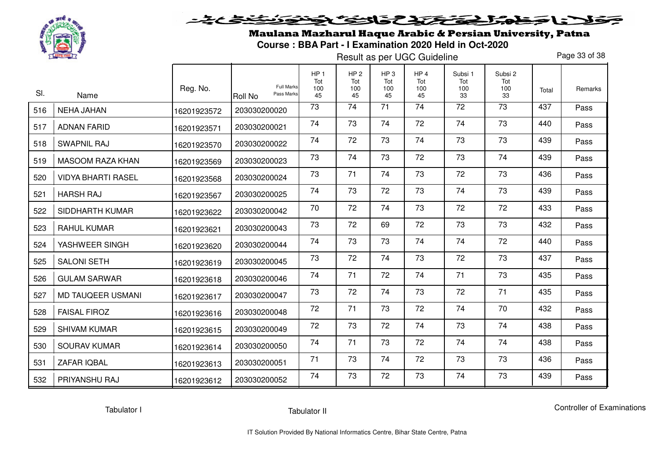

Maulana Mazharul Haque Arabic & Persian University, Patna**Course : BBA Part - I Examination 2020 Held in Oct-2020** 

Result as per UGC Guideline

Page 33 of 38

| SI. | Name                      | Reg. No.    | <b>Full Marks</b><br>Pass Marks<br>Roll No | HP <sub>1</sub><br>Tot<br>100<br>45 | HP <sub>2</sub><br>Tot<br>100<br>45 | HP <sub>3</sub><br>Tot<br>100<br>45 | HP <sub>4</sub><br>Tot<br>100<br>45 | Subsi 1<br>Tot<br>100<br>33 | Subsi 2<br>Tot<br>100<br>33 | Total | Remarks |
|-----|---------------------------|-------------|--------------------------------------------|-------------------------------------|-------------------------------------|-------------------------------------|-------------------------------------|-----------------------------|-----------------------------|-------|---------|
| 516 | <b>NEHA JAHAN</b>         | 16201923572 | 203030200020                               | 73                                  | 74                                  | 71                                  | 74                                  | 72                          | $\overline{73}$             | 437   | Pass    |
| 517 | <b>ADNAN FARID</b>        | 16201923571 | 203030200021                               | 74                                  | 73                                  | 74                                  | 72                                  | 74                          | 73                          | 440   | Pass    |
| 518 | <b>SWAPNIL RAJ</b>        | 16201923570 | 203030200022                               | 74                                  | 72                                  | 73                                  | 74                                  | 73                          | 73                          | 439   | Pass    |
| 519 | MASOOM RAZA KHAN          | 16201923569 | 203030200023                               | 73                                  | 74                                  | 73                                  | 72                                  | 73                          | 74                          | 439   | Pass    |
| 520 | <b>VIDYA BHARTI RASEL</b> | 16201923568 | 203030200024                               | 73                                  | 71                                  | 74                                  | 73                                  | 72                          | 73                          | 436   | Pass    |
| 521 | <b>HARSH RAJ</b>          | 16201923567 | 203030200025                               | 74                                  | 73                                  | 72                                  | 73                                  | 74                          | 73                          | 439   | Pass    |
| 522 | SIDDHARTH KUMAR           | 16201923622 | 203030200042                               | 70                                  | 72                                  | 74                                  | 73                                  | 72                          | 72                          | 433   | Pass    |
| 523 | <b>RAHUL KUMAR</b>        | 16201923621 | 203030200043                               | 73                                  | 72                                  | 69                                  | 72                                  | 73                          | 73                          | 432   | Pass    |
| 524 | YASHWEER SINGH            | 16201923620 | 203030200044                               | 74                                  | 73                                  | 73                                  | 74                                  | 74                          | 72                          | 440   | Pass    |
| 525 | <b>SALONI SETH</b>        | 16201923619 | 203030200045                               | 73                                  | 72                                  | 74                                  | 73                                  | 72                          | 73                          | 437   | Pass    |
| 526 | <b>GULAM SARWAR</b>       | 16201923618 | 203030200046                               | 74                                  | 71                                  | 72                                  | 74                                  | 71                          | 73                          | 435   | Pass    |
| 527 | <b>MD TAUQEER USMANI</b>  | 16201923617 | 203030200047                               | 73                                  | 72                                  | 74                                  | 73                                  | 72                          | 71                          | 435   | Pass    |
| 528 | <b>FAISAL FIROZ</b>       | 16201923616 | 203030200048                               | 72                                  | 71                                  | 73                                  | 72                                  | 74                          | 70                          | 432   | Pass    |
| 529 | <b>SHIVAM KUMAR</b>       | 16201923615 | 203030200049                               | 72                                  | 73                                  | 72                                  | 74                                  | 73                          | 74                          | 438   | Pass    |
| 530 | <b>SOURAV KUMAR</b>       | 16201923614 | 203030200050                               | 74                                  | 71                                  | 73                                  | 72                                  | 74                          | 74                          | 438   | Pass    |
| 531 | ZAFAR IQBAL               | 16201923613 | 203030200051                               | 71                                  | 73                                  | 74                                  | 72                                  | 73                          | 73                          | 436   | Pass    |
| 532 | PRIYANSHU RAJ             | 16201923612 | 203030200052                               | 74                                  | 73                                  | 72                                  | 73                                  | 74                          | 73                          | 439   | Pass    |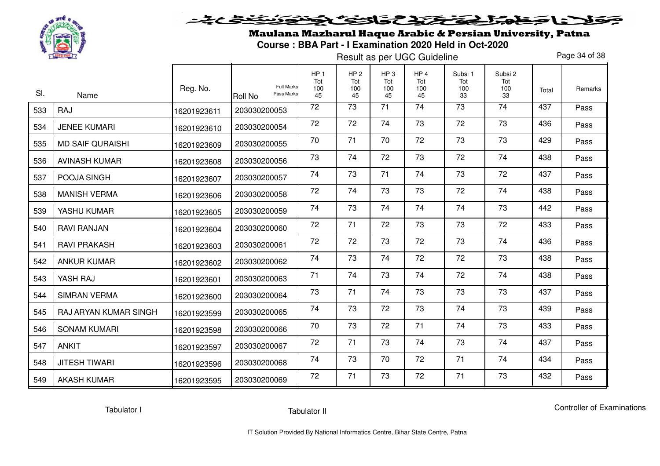

# <u>خخ خ</u> فلانا حفاه الحفظ والث فخفوذ

Maulana Mazharul Haque Arabic & Persian University, Patna**Course : BBA Part - I Examination 2020 Held in Oct-2020** 

Result as per UGC Guideline

Page 34 of 38

| SI. | Name                    | Reg. No.    | <b>Full Marks</b><br>Pass Marks<br><b>Roll No</b> | HP <sub>1</sub><br>Tot<br>100<br>45 | HP <sub>2</sub><br>Tot<br>100<br>45 | HP <sub>3</sub><br>Tot<br>100<br>45 | HP <sub>4</sub><br>Tot<br>100<br>45 | Subsi 1<br>Tot<br>100<br>33 | Subsi 2<br>Tot<br>100<br>33 | Total | Remarks |
|-----|-------------------------|-------------|---------------------------------------------------|-------------------------------------|-------------------------------------|-------------------------------------|-------------------------------------|-----------------------------|-----------------------------|-------|---------|
| 533 | RAJ                     | 16201923611 | 203030200053                                      | 72                                  | 73                                  | 71                                  | 74                                  | 73                          | 74                          | 437   | Pass    |
| 534 | <b>JENEE KUMARI</b>     | 16201923610 | 203030200054                                      | 72                                  | 72                                  | 74                                  | 73                                  | 72                          | 73                          | 436   | Pass    |
| 535 | <b>MD SAIF QURAISHI</b> | 16201923609 | 203030200055                                      | 70                                  | 71                                  | 70                                  | 72                                  | 73                          | 73                          | 429   | Pass    |
| 536 | <b>AVINASH KUMAR</b>    | 16201923608 | 203030200056                                      | 73                                  | 74                                  | 72                                  | 73                                  | 72                          | 74                          | 438   | Pass    |
| 537 | POOJA SINGH             | 16201923607 | 203030200057                                      | 74                                  | 73                                  | 71                                  | 74                                  | 73                          | 72                          | 437   | Pass    |
| 538 | <b>MANISH VERMA</b>     | 16201923606 | 203030200058                                      | 72                                  | 74                                  | 73                                  | 73                                  | 72                          | 74                          | 438   | Pass    |
| 539 | YASHU KUMAR             | 16201923605 | 203030200059                                      | 74                                  | 73                                  | 74                                  | 74                                  | 74                          | 73                          | 442   | Pass    |
| 540 | <b>RAVI RANJAN</b>      | 16201923604 | 203030200060                                      | 72                                  | 71                                  | 72                                  | 73                                  | 73                          | 72                          | 433   | Pass    |
| 541 | <b>RAVI PRAKASH</b>     | 16201923603 | 203030200061                                      | 72                                  | 72                                  | 73                                  | 72                                  | 73                          | 74                          | 436   | Pass    |
| 542 | <b>ANKUR KUMAR</b>      | 16201923602 | 203030200062                                      | 74                                  | 73                                  | 74                                  | 72                                  | 72                          | 73                          | 438   | Pass    |
| 543 | YASH RAJ                | 16201923601 | 203030200063                                      | 71                                  | 74                                  | 73                                  | 74                                  | 72                          | 74                          | 438   | Pass    |
| 544 | <b>SIMRAN VERMA</b>     | 16201923600 | 203030200064                                      | 73                                  | 71                                  | 74                                  | 73                                  | 73                          | 73                          | 437   | Pass    |
| 545 | RAJ ARYAN KUMAR SINGH   | 16201923599 | 203030200065                                      | 74                                  | 73                                  | 72                                  | 73                                  | 74                          | 73                          | 439   | Pass    |
| 546 | <b>SONAM KUMARI</b>     | 16201923598 | 203030200066                                      | 70                                  | 73                                  | 72                                  | 71                                  | 74                          | 73                          | 433   | Pass    |
| 547 | <b>ANKIT</b>            | 16201923597 | 203030200067                                      | 72                                  | 71                                  | 73                                  | 74                                  | 73                          | 74                          | 437   | Pass    |
| 548 | <b>JITESH TIWARI</b>    | 16201923596 | 203030200068                                      | 74                                  | 73                                  | 70                                  | 72                                  | 71                          | 74                          | 434   | Pass    |
| 549 | <b>AKASH KUMAR</b>      | 16201923595 | 203030200069                                      | 72                                  | 71                                  | 73                                  | 72                                  | 71                          | 73                          | 432   | Pass    |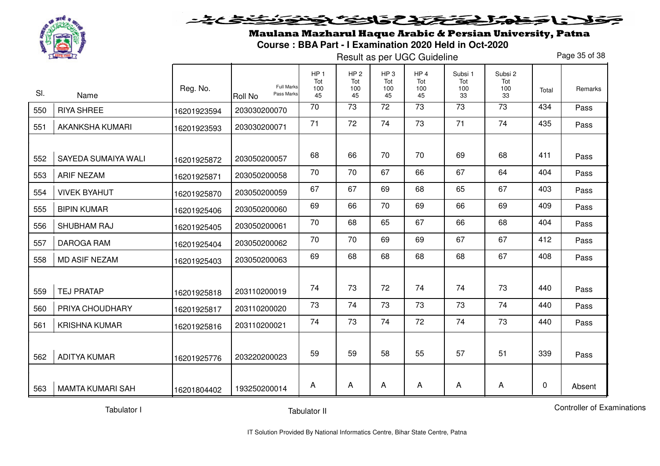

# <u>خخخ کی تو د</u> فلانا حفاه الحفظ والث والتفافض

Maulana Mazharul Haque Arabic & Persian University, Patna**Course : BBA Part - I Examination 2020 Held in Oct-2020** 

Result as per UGC Guideline

Page 35 of 38

| SI. | Name                       | Reg. No.    | Full Marks<br>Pass Marks<br><b>Roll No</b> | HP <sub>1</sub><br>Tot<br>100<br>45 | HP <sub>2</sub><br>Tot<br>100<br>45 | HP <sub>3</sub><br>Tot<br>100<br>45 | HP <sub>4</sub><br>Tot<br>100<br>45 | Subsi 1<br>Tot<br>100<br>33 | Subsi 2<br>Tot<br>100<br>33 | Total | Remarks |
|-----|----------------------------|-------------|--------------------------------------------|-------------------------------------|-------------------------------------|-------------------------------------|-------------------------------------|-----------------------------|-----------------------------|-------|---------|
| 550 | <b>RIYA SHREE</b>          | 16201923594 | 203030200070                               | 70                                  | $\overline{73}$                     | 72                                  | 73                                  | 73                          | 73                          | 434   | Pass    |
| 551 | <b>AKANKSHA KUMARI</b>     | 16201923593 | 203030200071                               | 71                                  | 72                                  | 74                                  | 73                                  | 71                          | 74                          | 435   | Pass    |
| 552 | <b>SAYEDA SUMAIYA WALI</b> | 16201925872 | 203050200057                               | 68                                  | 66                                  | 70                                  | 70                                  | 69                          | 68                          | 411   | Pass    |
| 553 | <b>ARIF NEZAM</b>          | 16201925871 | 203050200058                               | 70                                  | 70                                  | 67                                  | 66                                  | 67                          | 64                          | 404   | Pass    |
| 554 | <b>VIVEK BYAHUT</b>        | 16201925870 | 203050200059                               | 67                                  | 67                                  | 69                                  | 68                                  | 65                          | 67                          | 403   | Pass    |
| 555 | <b>BIPIN KUMAR</b>         | 16201925406 | 203050200060                               | 69                                  | 66                                  | 70                                  | 69                                  | 66                          | 69                          | 409   | Pass    |
| 556 | SHUBHAM RAJ                | 16201925405 | 203050200061                               | 70                                  | 68                                  | 65                                  | 67                                  | 66                          | 68                          | 404   | Pass    |
| 557 | <b>DAROGA RAM</b>          | 16201925404 | 203050200062                               | 70                                  | 70                                  | 69                                  | 69                                  | 67                          | 67                          | 412   | Pass    |
| 558 | <b>MD ASIF NEZAM</b>       | 16201925403 | 203050200063                               | 69                                  | 68                                  | 68                                  | 68                                  | 68                          | 67                          | 408   | Pass    |
| 559 | <b>TEJ PRATAP</b>          | 16201925818 | 203110200019                               | 74                                  | 73                                  | 72                                  | 74                                  | 74                          | 73                          | 440   | Pass    |
| 560 | PRIYA CHOUDHARY            | 16201925817 | 203110200020                               | 73                                  | 74                                  | 73                                  | 73                                  | 73                          | 74                          | 440   | Pass    |
| 561 | <b>KRISHNA KUMAR</b>       | 16201925816 | 203110200021                               | 74                                  | 73                                  | 74                                  | 72                                  | 74                          | 73                          | 440   | Pass    |
| 562 | <b>ADITYA KUMAR</b>        | 16201925776 | 203220200023                               | 59                                  | 59                                  | 58                                  | 55                                  | 57                          | 51                          | 339   | Pass    |
| 563 | <b>MAMTA KUMARI SAH</b>    | 16201804402 | 193250200014                               | A                                   | A                                   | A                                   | A                                   | A                           | A                           | 0     | Absent  |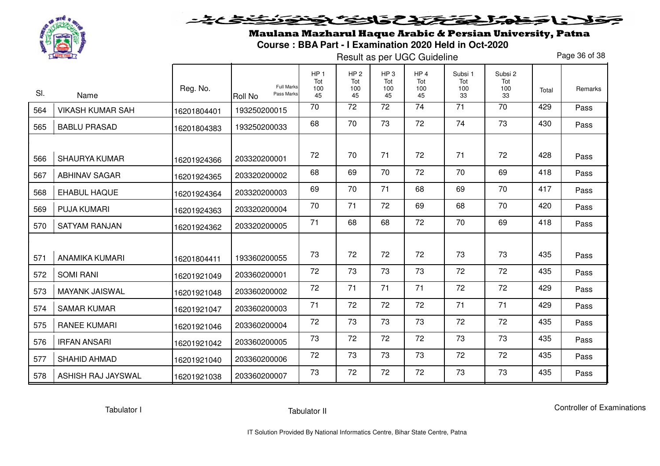

# <u>خخ خ</u> فلانا حفاه الحفظ والث فخفوذ

Maulana Mazharul Haque Arabic & Persian University, Patna**Course : BBA Part - I Examination 2020 Held in Oct-2020** 

Result as per UGC Guideline

Page 36 of 38

| SI. |                         | Reg. No.    | <b>Full Marks</b>     | HP <sub>1</sub><br>Tot<br>100 | HP <sub>2</sub><br>Tot<br>100 | HP <sub>3</sub><br>Tot<br>100 | HP <sub>4</sub><br>Tot<br>100 | Subsi 1<br>Tot<br>100 | Subsi 2<br>Tot<br>100 | Total | Remarks |
|-----|-------------------------|-------------|-----------------------|-------------------------------|-------------------------------|-------------------------------|-------------------------------|-----------------------|-----------------------|-------|---------|
|     | Name                    |             | Pass Marks<br>Roll No | 45<br>70                      | 45<br>72                      | 45<br>72                      | 45<br>74                      | 33<br>71              | 33<br>70              | 429   | Pass    |
| 564 | <b>VIKASH KUMAR SAH</b> | 16201804401 | 193250200015          |                               |                               |                               |                               |                       |                       |       |         |
| 565 | <b>BABLU PRASAD</b>     | 16201804383 | 193250200033          | 68                            | 70                            | 73                            | 72                            | 74                    | 73                    | 430   | Pass    |
|     |                         |             |                       |                               |                               |                               |                               |                       |                       |       |         |
| 566 | <b>SHAURYA KUMAR</b>    | 16201924366 | 203320200001          | 72                            | 70                            | 71                            | 72                            | 71                    | 72                    | 428   | Pass    |
| 567 | <b>ABHINAV SAGAR</b>    | 16201924365 | 203320200002          | 68                            | 69                            | 70                            | 72                            | 70                    | 69                    | 418   | Pass    |
| 568 | <b>EHABUL HAQUE</b>     | 16201924364 | 203320200003          | 69                            | 70                            | 71                            | 68                            | 69                    | 70                    | 417   | Pass    |
| 569 | <b>PUJA KUMARI</b>      | 16201924363 | 203320200004          | 70                            | 71                            | 72                            | 69                            | 68                    | 70                    | 420   | Pass    |
| 570 | <b>SATYAM RANJAN</b>    | 16201924362 | 203320200005          | 71                            | 68                            | 68                            | 72                            | 70                    | 69                    | 418   | Pass    |
|     |                         |             |                       |                               |                               |                               |                               |                       |                       |       |         |
| 571 | ANAMIKA KUMARI          | 16201804411 | 193360200055          | 73                            | 72                            | 72                            | 72                            | 73                    | 73                    | 435   | Pass    |
| 572 | <b>SOMI RANI</b>        | 16201921049 | 203360200001          | 72                            | 73                            | 73                            | 73                            | 72                    | 72                    | 435   | Pass    |
| 573 | <b>MAYANK JAISWAL</b>   | 16201921048 | 203360200002          | 72                            | 71                            | 71                            | 71                            | 72                    | 72                    | 429   | Pass    |
| 574 | <b>SAMAR KUMAR</b>      | 16201921047 | 203360200003          | 71                            | 72                            | 72                            | 72                            | 71                    | 71                    | 429   | Pass    |
| 575 | <b>RANEE KUMARI</b>     | 16201921046 | 203360200004          | 72                            | 73                            | 73                            | 73                            | 72                    | 72                    | 435   | Pass    |
| 576 | <b>IRFAN ANSARI</b>     | 16201921042 | 203360200005          | 73                            | 72                            | 72                            | 72                            | 73                    | 73                    | 435   | Pass    |
| 577 | SHAHID AHMAD            | 16201921040 | 203360200006          | 72                            | 73                            | 73                            | 73                            | 72                    | 72                    | 435   | Pass    |
| 578 | ASHISH RAJ JAYSWAL      | 16201921038 | 203360200007          | 73                            | 72                            | 72                            | 72                            | 73                    | 73                    | 435   | Pass    |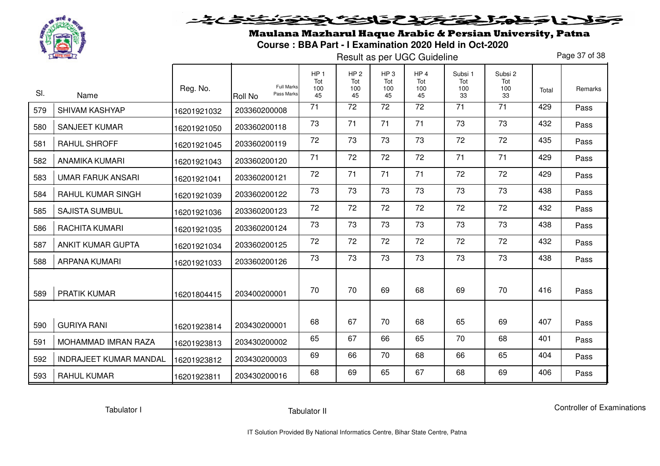

Maulana Mazharul Haque Arabic & Persian University, Patna**Course : BBA Part - I Examination 2020 Held in Oct-2020** 

Result as per UGC Guideline

Page 37 of 38

| SI. | Name                          | Reg. No.    | <b>Full Marks</b><br>Pass Marks<br><b>Roll No</b> | HP <sub>1</sub><br>Tot<br>100<br>45 | HP <sub>2</sub><br>Tot<br>100<br>45 | HP <sub>3</sub><br>Tot<br>100<br>45 | HP <sub>4</sub><br>Tot<br>100<br>45 | Subsi 1<br>Tot<br>100<br>33 | Subsi 2<br>Tot<br>100<br>33 | Total | Remarks |
|-----|-------------------------------|-------------|---------------------------------------------------|-------------------------------------|-------------------------------------|-------------------------------------|-------------------------------------|-----------------------------|-----------------------------|-------|---------|
| 579 | <b>SHIVAM KASHYAP</b>         | 16201921032 | 203360200008                                      | 71                                  | $\overline{72}$                     | 72                                  | 72                                  | $\overline{71}$             | $\overline{71}$             | 429   | Pass    |
| 580 | <b>SANJEET KUMAR</b>          | 16201921050 | 203360200118                                      | 73                                  | 71                                  | 71                                  | 71                                  | 73                          | 73                          | 432   | Pass    |
| 581 | <b>RAHUL SHROFF</b>           | 16201921045 | 203360200119                                      | 72                                  | 73                                  | 73                                  | 73                                  | 72                          | 72                          | 435   | Pass    |
| 582 | <b>ANAMIKA KUMARI</b>         | 16201921043 | 203360200120                                      | 71                                  | 72                                  | 72                                  | 72                                  | 71                          | 71                          | 429   | Pass    |
| 583 | <b>UMAR FARUK ANSARI</b>      | 16201921041 | 203360200121                                      | 72                                  | 71                                  | 71                                  | 71                                  | 72                          | 72                          | 429   | Pass    |
| 584 | <b>RAHUL KUMAR SINGH</b>      | 16201921039 | 203360200122                                      | 73                                  | 73                                  | 73                                  | 73                                  | 73                          | 73                          | 438   | Pass    |
| 585 | <b>SAJISTA SUMBUL</b>         | 16201921036 | 203360200123                                      | 72                                  | 72                                  | 72                                  | 72                                  | 72                          | 72                          | 432   | Pass    |
| 586 | RACHITA KUMARI                | 16201921035 | 203360200124                                      | 73                                  | 73                                  | 73                                  | 73                                  | 73                          | 73                          | 438   | Pass    |
| 587 | <b>ANKIT KUMAR GUPTA</b>      | 16201921034 | 203360200125                                      | 72                                  | 72                                  | 72                                  | 72                                  | 72                          | 72                          | 432   | Pass    |
| 588 | ARPANA KUMARI                 | 16201921033 | 203360200126                                      | 73                                  | 73                                  | 73                                  | 73                                  | 73                          | 73                          | 438   | Pass    |
| 589 | <b>PRATIK KUMAR</b>           | 16201804415 | 203400200001                                      | 70                                  | 70                                  | 69                                  | 68                                  | 69                          | 70                          | 416   | Pass    |
|     |                               |             |                                                   |                                     |                                     |                                     |                                     |                             |                             |       |         |
| 590 | <b>GURIYA RANI</b>            | 16201923814 | 203430200001                                      | 68                                  | 67                                  | 70                                  | 68                                  | 65                          | 69                          | 407   | Pass    |
| 591 | <b>MOHAMMAD IMRAN RAZA</b>    | 16201923813 | 203430200002                                      | 65                                  | 67                                  | 66                                  | 65                                  | 70                          | 68                          | 401   | Pass    |
| 592 | <b>INDRAJEET KUMAR MANDAL</b> | 16201923812 | 203430200003                                      | 69                                  | 66                                  | 70                                  | 68                                  | 66                          | 65                          | 404   | Pass    |
| 593 | <b>RAHUL KUMAR</b>            | 16201923811 | 203430200016                                      | 68                                  | 69                                  | 65                                  | 67                                  | 68                          | 69                          | 406   | Pass    |